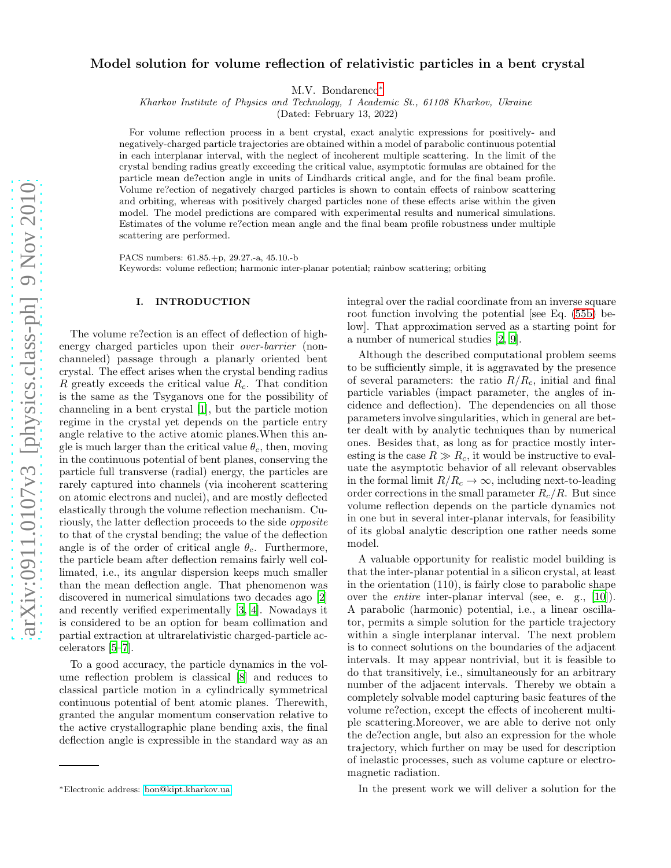# Model solution for volume reflection of relativistic particles in a bent crystal

M.V. Bondarenco[∗](#page-0-0)

Kharkov Institute of Physics and Technology, 1 Academic St., 61108 Kharkov, Ukraine

(Dated: February 13, 2022)

For volume reflection process in a bent crystal, exact analytic expressions for positively- and negatively-charged particle trajectories are obtained within a model of parabolic continuous potential in each interplanar interval, with the neglect of incoherent multiple scattering. In the limit of the crystal bending radius greatly exceeding the critical value, asymptotic formulas are obtained for the particle mean de?ection angle in units of Lindhards critical angle, and for the final beam profile. Volume re?ection of negatively charged particles is shown to contain effects of rainbow scattering and orbiting, whereas with positively charged particles none of these effects arise within the given model. The model predictions are compared with experimental results and numerical simulations. Estimates of the volume re?ection mean angle and the final beam profile robustness under multiple scattering are performed.

PACS numbers: 61.85.+p, 29.27.-a, 45.10.-b

Keywords: volume reflection; harmonic inter-planar potential; rainbow scattering; orbiting

## I. INTRODUCTION

The volume re?ection is an effect of deflection of highenergy charged particles upon their over-barrier (nonchanneled) passage through a planarly oriented bent crystal. The effect arises when the crystal bending radius R greatly exceeds the critical value  $R_c$ . That condition is the same as the Tsyganovs one for the possibility of channeling in a bent crystal [\[1](#page-19-0)], but the particle motion regime in the crystal yet depends on the particle entry angle relative to the active atomic planes.When this angle is much larger than the critical value  $\theta_c$ , then, moving in the continuous potential of bent planes, conserving the particle full transverse (radial) energy, the particles are rarely captured into channels (via incoherent scattering on atomic electrons and nuclei), and are mostly deflected elastically through the volume reflection mechanism. Curiously, the latter deflection proceeds to the side opposite to that of the crystal bending; the value of the deflection angle is of the order of critical angle  $\theta_c$ . Furthermore, the particle beam after deflection remains fairly well collimated, i.e., its angular dispersion keeps much smaller than the mean deflection angle. That phenomenon was discovered in numerical simulations two decades ago [\[2](#page-19-1)] and recently verified experimentally [\[3,](#page-19-2) [4](#page-19-3)]. Nowadays it is considered to be an option for beam collimation and partial extraction at ultrarelativistic charged-particle accelerators [\[5](#page-19-4)[–7\]](#page-19-5).

To a good accuracy, the particle dynamics in the volume reflection problem is classical [\[8](#page-19-6)] and reduces to classical particle motion in a cylindrically symmetrical continuous potential of bent atomic planes. Therewith, granted the angular momentum conservation relative to the active crystallographic plane bending axis, the final deflection angle is expressible in the standard way as an integral over the radial coordinate from an inverse square root function involving the potential [see Eq. [\(55b\)](#page-7-0) below]. That approximation served as a starting point for a number of numerical studies [\[2,](#page-19-1) [9\]](#page-19-7).

Although the described computational problem seems to be sufficiently simple, it is aggravated by the presence of several parameters: the ratio  $R/R_c$ , initial and final particle variables (impact parameter, the angles of incidence and deflection). The dependencies on all those parameters involve singularities, which in general are better dealt with by analytic techniques than by numerical ones. Besides that, as long as for practice mostly interesting is the case  $R \gg R_c$ , it would be instructive to evaluate the asymptotic behavior of all relevant observables in the formal limit  $R/R_c \rightarrow \infty$ , including next-to-leading order corrections in the small parameter  $R_c/R$ . But since volume reflection depends on the particle dynamics not in one but in several inter-planar intervals, for feasibility of its global analytic description one rather needs some model.

A valuable opportunity for realistic model building is that the inter-planar potential in a silicon crystal, at least in the orientation (110), is fairly close to parabolic shape over the entire inter-planar interval (see, e. g., [\[10\]](#page-19-8)). A parabolic (harmonic) potential, i.e., a linear oscillator, permits a simple solution for the particle trajectory within a single interplanar interval. The next problem is to connect solutions on the boundaries of the adjacent intervals. It may appear nontrivial, but it is feasible to do that transitively, i.e., simultaneously for an arbitrary number of the adjacent intervals. Thereby we obtain a completely solvable model capturing basic features of the volume re?ection, except the effects of incoherent multiple scattering.Moreover, we are able to derive not only the de?ection angle, but also an expression for the whole trajectory, which further on may be used for description of inelastic processes, such as volume capture or electromagnetic radiation.

In the present work we will deliver a solution for the

<span id="page-0-0"></span><sup>∗</sup>Electronic address: [bon@kipt.kharkov.ua](mailto:bon@kipt.kharkov.ua)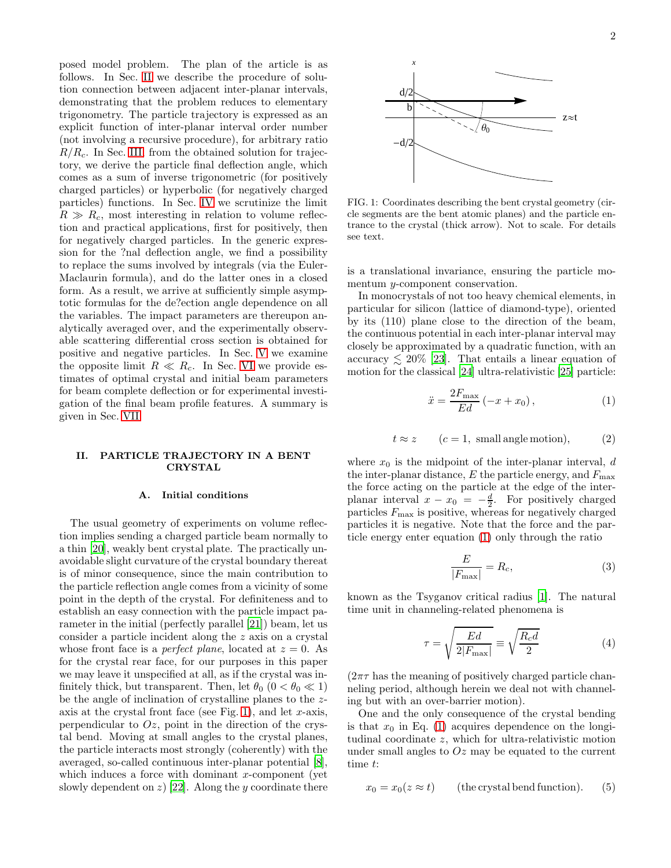posed model problem. The plan of the article is as follows. In Sec. [II](#page-1-0) we describe the procedure of solution connection between adjacent inter-planar intervals, demonstrating that the problem reduces to elementary trigonometry. The particle trajectory is expressed as an explicit function of inter-planar interval order number (not involving a recursive procedure), for arbitrary ratio  $R/R_c$ . In Sec. [III,](#page-3-0) from the obtained solution for trajectory, we derive the particle final deflection angle, which comes as a sum of inverse trigonometric (for positively charged particles) or hyperbolic (for negatively charged particles) functions. In Sec. [IV](#page-8-0) we scrutinize the limit  $R \gg R_c$ , most interesting in relation to volume reflection and practical applications, first for positively, then for negatively charged particles. In the generic expression for the ?nal deflection angle, we find a possibility to replace the sums involved by integrals (via the Euler-Maclaurin formula), and do the latter ones in a closed form. As a result, we arrive at sufficiently simple asymptotic formulas for the de?ection angle dependence on all the variables. The impact parameters are thereupon analytically averaged over, and the experimentally observable scattering differential cross section is obtained for positive and negative particles. In Sec. [V](#page-15-0) we examine the opposite limit  $R \ll R_c$ . In Sec. [VI](#page-16-0) we provide estimates of optimal crystal and initial beam parameters for beam complete deflection or for experimental investigation of the final beam profile features. A summary is given in Sec. [VII.](#page-17-0)

### <span id="page-1-0"></span>II. PARTICLE TRAJECTORY IN A BENT CRYSTAL

#### A. Initial conditions

The usual geometry of experiments on volume reflection implies sending a charged particle beam normally to a thin [\[20\]](#page-19-9), weakly bent crystal plate. The practically unavoidable slight curvature of the crystal boundary thereat is of minor consequence, since the main contribution to the particle reflection angle comes from a vicinity of some point in the depth of the crystal. For definiteness and to establish an easy connection with the particle impact parameter in the initial (perfectly parallel [\[21\]](#page-19-10)) beam, let us consider a particle incident along the z axis on a crystal whose front face is a *perfect plane*, located at  $z = 0$ . As for the crystal rear face, for our purposes in this paper we may leave it unspecified at all, as if the crystal was infinitely thick, but transparent. Then, let  $\theta_0$  ( $0 < \theta_0 \ll 1$ ) be the angle of inclination of crystalline planes to the z-axis at the crystal front face (see Fig. [1\)](#page-1-1), and let  $x$ -axis, perpendicular to  $Oz$ , point in the direction of the crystal bend. Moving at small angles to the crystal planes, the particle interacts most strongly (coherently) with the averaged, so-called continuous inter-planar potential [\[8\]](#page-19-6), which induces a force with dominant  $x$ -component (yet slowly dependent on  $z$ ) [\[22](#page-19-11)]. Along the y coordinate there



<span id="page-1-1"></span>FIG. 1: Coordinates describing the bent crystal geometry (circle segments are the bent atomic planes) and the particle entrance to the crystal (thick arrow). Not to scale. For details see text.

is a translational invariance, ensuring the particle momentum y-component conservation.

In monocrystals of not too heavy chemical elements, in particular for silicon (lattice of diamond-type), oriented by its (110) plane close to the direction of the beam, the continuous potential in each inter-planar interval may closely be approximated by a quadratic function, with an accuracy  $\leq 20\%$  [\[23\]](#page-19-12). That entails a linear equation of motion for the classical [\[24\]](#page-19-13) ultra-relativistic [\[25\]](#page-19-14) particle:

<span id="page-1-2"></span>
$$
\ddot{x} = \frac{2F_{\text{max}}}{Ed} \left( -x + x_0 \right),\tag{1}
$$

$$
t \approx z
$$
  $(c = 1, small angle motion),$  (2)

where  $x_0$  is the midpoint of the inter-planar interval, d the inter-planar distance,  $E$  the particle energy, and  $F_{\text{max}}$ the force acting on the particle at the edge of the interplanar interval  $x - x_0 = -\frac{d}{2}$ . For positively charged particles  $F_{\text{max}}$  is positive, whereas for negatively charged particles it is negative. Note that the force and the particle energy enter equation [\(1\)](#page-1-2) only through the ratio

$$
\frac{E}{|F_{\text{max}}|} = R_c,\tag{3}
$$

known as the Tsyganov critical radius [\[1\]](#page-19-0). The natural time unit in channeling-related phenomena is

<span id="page-1-3"></span>
$$
\tau = \sqrt{\frac{Ed}{2|F_{\text{max}}|}} \equiv \sqrt{\frac{R_c d}{2}} \tag{4}
$$

 $(2\pi\tau)$  has the meaning of positively charged particle channeling period, although herein we deal not with channeling but with an over-barrier motion).

One and the only consequence of the crystal bending is that  $x_0$  in Eq. [\(1\)](#page-1-2) acquires dependence on the longitudinal coordinate z, which for ultra-relativistic motion under small angles to  $Oz$  may be equated to the current time t:

$$
x_0 = x_0(z \approx t) \qquad \text{(the crystal bend function)}.
$$
 (5)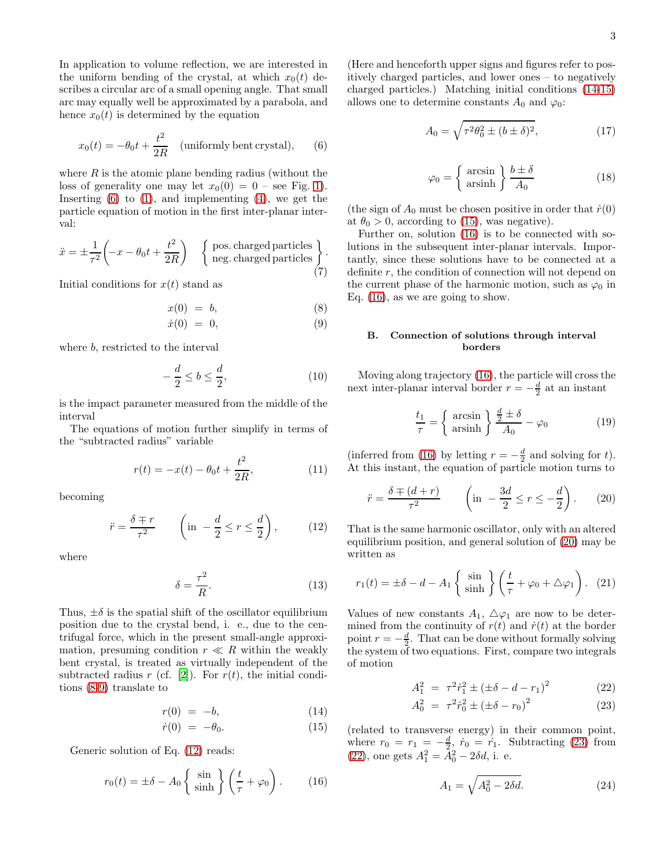In application to volume reflection, we are interested in the uniform bending of the crystal, at which  $x_0(t)$  describes a circular arc of a small opening angle. That small arc may equally well be approximated by a parabola, and hence  $x_0(t)$  is determined by the equation

<span id="page-2-0"></span>
$$
x_0(t) = -\theta_0 t + \frac{t^2}{2R} \quad \text{(uniformly bent crystal)}, \qquad (6)
$$

where  $R$  is the atomic plane bending radius (without the loss of generality one may let  $x_0(0) = 0$  – see Fig. [1\)](#page-1-1). Inserting  $(6)$  to  $(1)$ , and implementing  $(4)$ , we get the particle equation of motion in the first inter-planar interval:

$$
\ddot{x} = \pm \frac{1}{\tau^2} \left( -x - \theta_0 t + \frac{t^2}{2R} \right) \quad \left\{ \begin{array}{c} \text{pos. charged particles} \\ \text{neg. charged particles} \end{array} \right\} . \tag{7}
$$

Initial conditions for  $x(t)$  stand as

<span id="page-2-1"></span>
$$
x(0) = b,\t\t(8)
$$

$$
\dot{x}(0) = 0,\t\t(9)
$$

where b, restricted to the interval

$$
-\frac{d}{2} \le b \le \frac{d}{2},\tag{10}
$$

is the impact parameter measured from the middle of the interval

The equations of motion further simplify in terms of the "subtracted radius" variable

$$
r(t) = -x(t) - \theta_0 t + \frac{t^2}{2R},
$$
\n(11)

becoming

<span id="page-2-2"></span>
$$
\ddot{r} = \frac{\delta \mp r}{\tau^2} \qquad \left( \text{in } -\frac{d}{2} \le r \le \frac{d}{2} \right), \tag{12}
$$

where

$$
\delta = \frac{\tau^2}{R}.\tag{13}
$$

Thus,  $\pm \delta$  is the spatial shift of the oscillator equilibrium position due to the crystal bend, i. e., due to the centrifugal force, which in the present small-angle approximation, presuming condition  $r \ll R$  within the weakly bent crystal, is treated as virtually independent of the subtracted radius r (cf. [\[2\]](#page-19-1)). For  $r(t)$ , the initial conditions [\(8-9\)](#page-2-1) translate to

<span id="page-2-3"></span>
$$
r(0) = -b,\tag{14}
$$

$$
\dot{r}(0) = -\theta_0. \tag{15}
$$

Generic solution of Eq. [\(12\)](#page-2-2) reads:

<span id="page-2-4"></span>
$$
r_0(t) = \pm \delta - A_0 \left\{ \frac{\sin}{\sinh} \right\} \left( \frac{t}{\tau} + \varphi_0 \right). \tag{16}
$$

(Here and henceforth upper signs and figures refer to positively charged particles, and lower ones – to negatively charged particles.) Matching initial conditions [\(14-15\)](#page-2-3) allows one to determine constants  $A_0$  and  $\varphi_0$ :

$$
A_0 = \sqrt{\tau^2 \theta_0^2 \pm (b \pm \delta)^2},\tag{17}
$$

$$
\varphi_0 = \left\{ \begin{array}{c} \arcsin \\ \text{arsinh} \end{array} \right\} \frac{b \pm \delta}{A_0} \tag{18}
$$

(the sign of  $A_0$  must be chosen positive in order that  $\dot{r}(0)$ ) at  $\theta_0 > 0$ , according to [\(15\)](#page-2-3), was negative).

Further on, solution [\(16\)](#page-2-4) is to be connected with solutions in the subsequent inter-planar intervals. Importantly, since these solutions have to be connected at a definite  $r$ , the condition of connection will not depend on the current phase of the harmonic motion, such as  $\varphi_0$  in Eq. [\(16\)](#page-2-4), as we are going to show.

## B. Connection of solutions through interval borders

Moving along trajectory [\(16\)](#page-2-4), the particle will cross the next inter-planar interval border  $r = -\frac{d}{2}$  at an instant

$$
\frac{t_1}{\tau} = \left\{ \begin{array}{c} \arcsin \\ \text{arsinh} \end{array} \right\} \frac{\frac{d}{2} \pm \delta}{A_0} - \varphi_0 \tag{19}
$$

(inferred from [\(16\)](#page-2-4) by letting  $r = -\frac{d}{2}$  and solving for t). At this instant, the equation of particle motion turns to

<span id="page-2-5"></span>
$$
\ddot{r} = \frac{\delta \mp (d+r)}{\tau^2} \qquad \left(\text{in } -\frac{3d}{2} \le r \le -\frac{d}{2}\right). \tag{20}
$$

That is the same harmonic oscillator, only with an altered equilibrium position, and general solution of [\(20\)](#page-2-5) may be written as

$$
r_1(t) = \pm \delta - d - A_1 \left\{ \sin \brace \sinh} \left\{ \left( \frac{t}{\tau} + \varphi_0 + \triangle \varphi_1 \right) . \right. (21)
$$

Values of new constants  $A_1$ ,  $\Delta\varphi_1$  are now to be determined from the continuity of  $r(t)$  and  $\dot{r}(t)$  at the border point  $r = -\frac{d}{2}$ . That can be done without formally solving the system of two equations. First, compare two integrals of motion

<span id="page-2-6"></span>
$$
A_1^2 = \tau^2 \dot{r}_1^2 \pm \left(\pm \delta - d - r_1\right)^2 \tag{22}
$$

$$
A_0^2 = \tau^2 \dot{r}_0^2 \pm (\pm \delta - r_0)^2 \tag{23}
$$

(related to transverse energy) in their common point, where  $r_0 = r_1 = -\frac{d}{2}$ ,  $\dot{r}_0 = \dot{r}_1$ . Subtracting [\(23\)](#page-2-6) from [\(22\)](#page-2-6), one gets  $A_1^2 = A_0^2 - 2\delta d$ , i. e.

$$
A_1 = \sqrt{A_0^2 - 2\delta d}.\t(24)
$$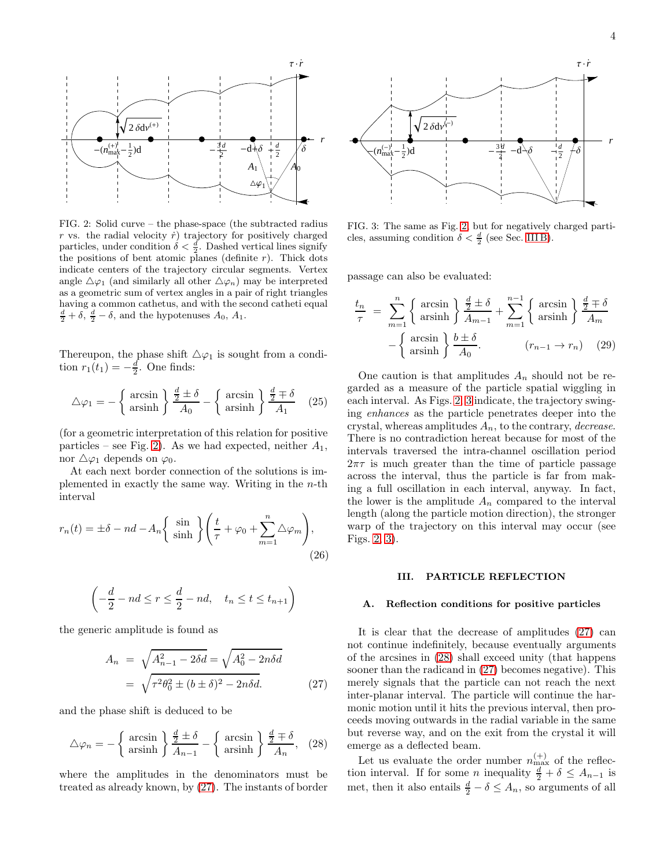

<span id="page-3-1"></span>FIG. 2: Solid curve – the phase-space (the subtracted radius  $r$  vs. the radial velocity  $\dot{r}$ ) trajectory for positively charged particles, under condition  $\delta < \frac{d}{2}$ . Dashed vertical lines signify the positions of bent atomic planes (definite  $r$ ). Thick dots indicate centers of the trajectory circular segments. Vertex angle  $\Delta\varphi_1$  (and similarly all other  $\Delta\varphi_n$ ) may be interpreted as a geometric sum of vertex angles in a pair of right triangles having a common cathetus, and with the second catheti equal  $\frac{d}{2} + \delta$ ,  $\frac{d}{2} - \delta$ , and the hypotenuses  $A_0$ ,  $A_1$ .

Thereupon, the phase shift  $\Delta\varphi_1$  is sought from a condition  $r_1(t_1) = -\frac{d}{2}$ . One finds:

$$
\triangle \varphi_1 = -\left\{ \begin{array}{c} \arcsin \\ \operatorname{arsinh} \end{array} \right\} \frac{\frac{d}{2} \pm \delta}{A_0} - \left\{ \begin{array}{c} \operatorname{arcsin} \\ \operatorname{arsinh} \end{array} \right\} \frac{\frac{d}{2} \mp \delta}{A_1} \quad (25)
$$

(for a geometric interpretation of this relation for positive particles – see Fig. [2\)](#page-3-1). As we had expected, neither  $A_1$ , nor  $\Delta\varphi_1$  depends on  $\varphi_0$ .

At each next border connection of the solutions is implemented in exactly the same way. Writing in the  $n$ -th interval

<span id="page-3-6"></span>
$$
r_n(t) = \pm \delta - nd - A_n \left\{ \sinh \left\{ \frac{t}{\tau} + \varphi_0 + \sum_{m=1}^n \Delta \varphi_m \right\},\right\}
$$
\n(26)

$$
\left(-\frac{d}{2} - nd \le r \le \frac{d}{2} - nd, \quad t_n \le t \le t_{n+1}\right)
$$

the generic amplitude is found as

<span id="page-3-2"></span>
$$
A_n = \sqrt{A_{n-1}^2 - 2\delta d} = \sqrt{A_0^2 - 2n\delta d}
$$
  
=  $\sqrt{\tau^2 \theta_0^2 \pm (b \pm \delta)^2 - 2n\delta d}.$  (27)

and the phase shift is deduced to be

<span id="page-3-4"></span>
$$
\triangle \varphi_n = -\left\{ \begin{array}{c} \arcsin \\ \operatorname{arsinh} \end{array} \right\} \frac{\frac{d}{2} \pm \delta}{A_{n-1}} - \left\{ \begin{array}{c} \operatorname{arcsin} \\ \operatorname{arsinh} \end{array} \right\} \frac{\frac{d}{2} \mp \delta}{A_n}, \quad (28)
$$

where the amplitudes in the denominators must be treated as already known, by [\(27\)](#page-3-2). The instants of border



<span id="page-3-3"></span>FIG. 3: The same as Fig. [2,](#page-3-1) but for negatively charged particles, assuming condition  $\delta < \frac{d}{2}$  (see Sec. [III B\)](#page-4-0).

passage can also be evaluated:

<span id="page-3-5"></span>
$$
\frac{t_n}{\tau} = \sum_{m=1}^n \left\{ \begin{array}{c} \arcsin \\ \operatorname{arsinh} \end{array} \right\} \frac{\frac{d}{2} \pm \delta}{A_{m-1}} + \sum_{m=1}^{n-1} \left\{ \begin{array}{c} \arcsin \\ \operatorname{arsinh} \end{array} \right\} \frac{\frac{d}{2} \mp \delta}{A_m} - \left\{ \begin{array}{c} \operatorname{arcsin} \\ \operatorname{arsinh} \end{array} \right\} \frac{b \pm \delta}{A_0}.
$$
\n
$$
(r_{n-1} \to r_n) \quad (29)
$$

One caution is that amplitudes  $A_n$  should not be regarded as a measure of the particle spatial wiggling in each interval. As Figs. [2,](#page-3-1) [3](#page-3-3) indicate, the trajectory swinging enhances as the particle penetrates deeper into the crystal, whereas amplitudes  $A_n$ , to the contrary, *decrease*. There is no contradiction hereat because for most of the intervals traversed the intra-channel oscillation period  $2\pi\tau$  is much greater than the time of particle passage across the interval, thus the particle is far from making a full oscillation in each interval, anyway. In fact, the lower is the amplitude  $A_n$  compared to the interval length (along the particle motion direction), the stronger warp of the trajectory on this interval may occur (see Figs. [2,](#page-3-1) [3\)](#page-3-3).

# <span id="page-3-0"></span>III. PARTICLE REFLECTION

#### A. Reflection conditions for positive particles

It is clear that the decrease of amplitudes [\(27\)](#page-3-2) can not continue indefinitely, because eventually arguments of the arcsines in [\(28\)](#page-3-4) shall exceed unity (that happens sooner than the radicand in [\(27\)](#page-3-2) becomes negative). This merely signals that the particle can not reach the next inter-planar interval. The particle will continue the harmonic motion until it hits the previous interval, then proceeds moving outwards in the radial variable in the same but reverse way, and on the exit from the crystal it will emerge as a deflected beam.

Let us evaluate the order number  $n_{\text{max}}^{(+)}$  of the reflection interval. If for some *n* inequality  $\frac{d}{2} + \delta \leq A_{n-1}$  is met, then it also entails  $\frac{d}{2} - \delta \leq A_n$ , so arguments of all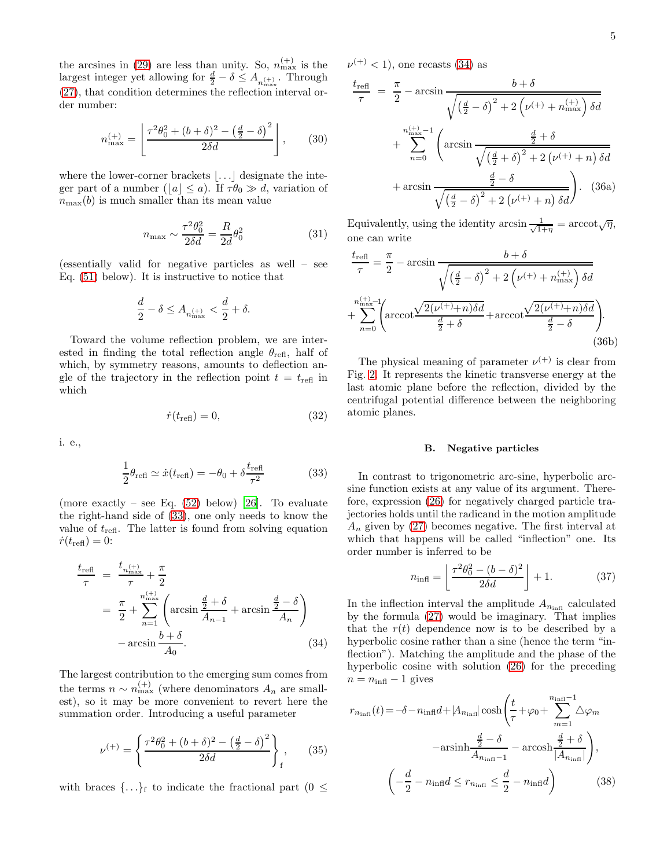<span id="page-4-6"></span>5

the arcsines in [\(29\)](#page-3-5) are less than unity. So,  $n_{\text{max}}^{(+)}$  is the largest integer yet allowing for  $\frac{d}{2} - \delta \leq A_{n_{\max}^{(+)}}$ . Through [\(27\)](#page-3-2), that condition determines the reflection interval order number:

<span id="page-4-5"></span>
$$
n_{\max}^{(+)} = \left[ \frac{\tau^2 \theta_0^2 + (b+\delta)^2 - \left(\frac{d}{2} - \delta\right)^2}{2\delta d} \right],\qquad(30)
$$

where the lower-corner brackets  $\left| \ldots \right|$  designate the integer part of a number ( $|a| \le a$ ). If  $\tau \theta_0 \gg d$ , variation of  $n_{\text{max}}(b)$  is much smaller than its mean value

$$
n_{\text{max}} \sim \frac{\tau^2 \theta_0^2}{2\delta d} = \frac{R}{2d} \theta_0^2 \tag{31}
$$

(essentially valid for negative particles as well – see Eq. [\(51\)](#page-6-0) below). It is instructive to notice that

$$
\frac{d}{2}-\delta\leq A_{n_{\max}^{(+)}}<\frac{d}{2}+\delta.
$$

Toward the volume reflection problem, we are interested in finding the total reflection angle  $\theta_{\text{refl}}$ , half of which, by symmetry reasons, amounts to deflection angle of the trajectory in the reflection point  $t = t_{\text{refl}}$  in which

$$
\dot{r}(t_{\text{refl}}) = 0,\tag{32}
$$

i. e.,

<span id="page-4-1"></span>
$$
\frac{1}{2}\theta_{\text{refl}} \simeq \dot{x}(t_{\text{refl}}) = -\theta_0 + \delta \frac{t_{\text{refl}}}{\tau^2} \tag{33}
$$

(more exactly – see Eq.  $(52)$  below) [\[26\]](#page-19-15). To evaluate the right-hand side of [\(33\)](#page-4-1), one only needs to know the value of  $t_{\text{refl}}$ . The latter is found from solving equation  $\dot{r}(t_{\text{refl}}) = 0$ :

<span id="page-4-2"></span>
$$
\frac{t_{\text{refl}}}{\tau} = \frac{t_{n_{\text{max}}^{(+)}}}{\tau} + \frac{\pi}{2}
$$
\n
$$
= \frac{\pi}{2} + \sum_{n=1}^{n_{\text{max}}^{(+)}} \left( \arcsin \frac{\frac{d}{2} + \delta}{A_{n-1}} + \arcsin \frac{\frac{d}{2} - \delta}{A_n} \right)
$$
\n
$$
- \arcsin \frac{b + \delta}{A_0}.
$$
\n(34)

The largest contribution to the emerging sum comes from the terms  $n \sim n_{\text{max}}^{(+)}$  (where denominators  $A_n$  are smallest), so it may be more convenient to revert here the summation order. Introducing a useful parameter

<span id="page-4-7"></span>
$$
\nu^{(+)} = \left\{ \frac{\tau^2 \theta_0^2 + (b + \delta)^2 - \left(\frac{d}{2} - \delta\right)^2}{2\delta d} \right\}_f, \qquad (35)
$$

with braces  $\{\ldots\}_f$  to indicate the fractional part ( $0 \leq$ 

 $\nu^{(+)}$  < 1), one recasts [\(34\)](#page-4-2) as

<span id="page-4-8"></span>
$$
\frac{t_{\text{refl}}}{\tau} = \frac{\pi}{2} - \arcsin \frac{b + \delta}{\sqrt{\left(\frac{d}{2} - \delta\right)^2 + 2\left(\nu^{(+)} + n_{\text{max}}^{(+)}\right)\delta d}} + \sum_{n=0}^{n_{\text{max}}^{(+)}-1} \left( \arcsin \frac{\frac{d}{2} + \delta}{\sqrt{\left(\frac{d}{2} + \delta\right)^2 + 2\left(\nu^{(+)} + n\right)\delta d}} + \arcsin \frac{\frac{d}{2} - \delta}{\sqrt{\left(\frac{d}{2} - \delta\right)^2 + 2\left(\nu^{(+)} + n\right)\delta d}} \right). \tag{36a}
$$

Equivalently, using the identity arcsin  $\frac{1}{\sqrt{1+\eta}} = \arccot \sqrt{\eta}$ , one can write

<span id="page-4-9"></span>
$$
\frac{t_{\text{refl}}}{\tau} = \frac{\pi}{2} - \arcsin \frac{b + \delta}{\sqrt{\left(\frac{d}{2} - \delta\right)^2 + 2\left(\nu^{(+)} + n_{\text{max}}^{(+)}\right)\delta d}}
$$

$$
+ \sum_{n=0}^{n_{\text{max}}^{(+)}-1} \left(\arccos \frac{\sqrt{2(\nu^{(+)}+n)\delta d}}{\frac{d}{2} + \delta} + \arccos \frac{\sqrt{2(\nu^{(+)}+n)\delta d}}{\frac{d}{2} - \delta}\right). \tag{36b}
$$

The physical meaning of parameter  $\nu^{(+)}$  is clear from Fig. [2.](#page-3-1) It represents the kinetic transverse energy at the last atomic plane before the reflection, divided by the centrifugal potential difference between the neighboring atomic planes.

### <span id="page-4-0"></span>B. Negative particles

In contrast to trigonometric arc-sine, hyperbolic arcsine function exists at any value of its argument. Therefore, expression [\(26\)](#page-3-6) for negatively charged particle trajectories holds until the radicand in the motion amplitude  $A_n$  given by [\(27\)](#page-3-2) becomes negative. The first interval at which that happens will be called "inflection" one. Its order number is inferred to be

<span id="page-4-4"></span>
$$
n_{\text{infl}} = \left\lfloor \frac{\tau^2 \theta_0^2 - (b - \delta)^2}{2\delta d} \right\rfloor + 1. \tag{37}
$$

In the inflection interval the amplitude  $A_{n_{\text{infl}}}$  calculated by the formula [\(27\)](#page-3-2) would be imaginary. That implies that the  $r(t)$  dependence now is to be described by a hyperbolic cosine rather than a sine (hence the term "inflection"). Matching the amplitude and the phase of the hyperbolic cosine with solution [\(26\)](#page-3-6) for the preceding  $n = n_{\text{infl}} - 1$  gives

<span id="page-4-3"></span>
$$
r_{n_{\text{infl}}}(t) = -\delta - n_{\text{infl}}d + |A_{n_{\text{infl}}}| \cosh\left(\frac{t}{\tau} + \varphi_0 + \sum_{m=1}^{n_{\text{infl}}-1} \Delta \varphi_m\right)
$$

$$
-\operatorname{arsinh}\frac{\frac{d}{2} - \delta}{A_{n_{\text{infl}}-1}} - \operatorname{arcosh}\frac{\frac{d}{2} + \delta}{|A_{n_{\text{infl}}}|}\right),
$$

$$
\left(-\frac{d}{2} - n_{\text{infl}}d \le r_{n_{\text{infl}}} \le \frac{d}{2} - n_{\text{infl}}d\right) \tag{38}
$$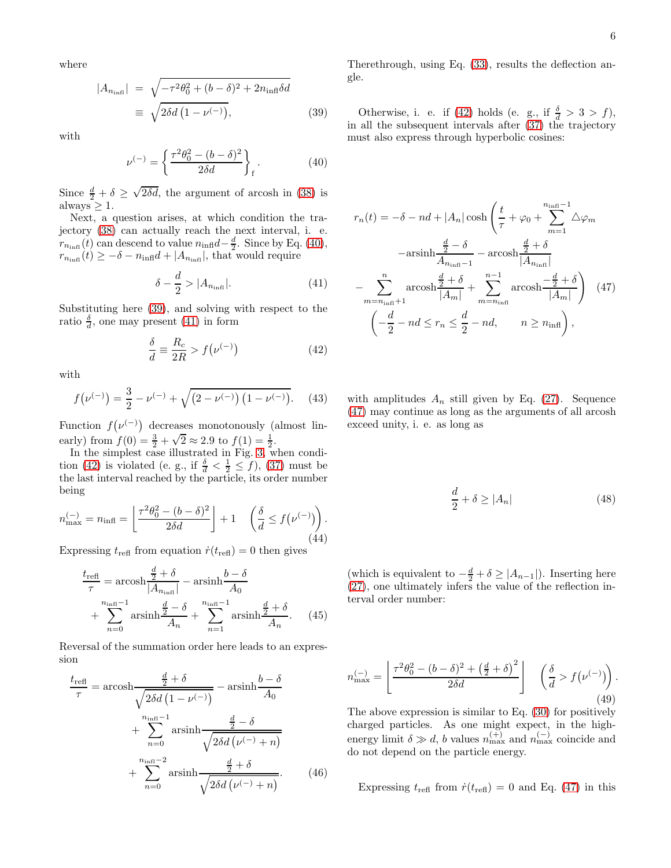where

<span id="page-5-1"></span>
$$
|A_{n_{\text{infl}}}| = \sqrt{-\tau^2 \theta_0^2 + (b - \delta)^2 + 2n_{\text{infl}}\delta d}
$$
  

$$
\equiv \sqrt{2\delta d \left(1 - \nu^{(-)}\right)},
$$
(39)

with

<span id="page-5-0"></span>
$$
\nu^{(-)} = \left\{ \frac{\tau^2 \theta_0^2 - (b - \delta)^2}{2\delta d} \right\}_f.
$$
 (40)

Since  $\frac{d}{2} + \delta \ge \sqrt{2\delta d}$ , the argument of arcosh in [\(38\)](#page-4-3) is  $always \geq 1.$ 

Next, a question arises, at which condition the trajectory [\(38\)](#page-4-3) can actually reach the next interval, i. e.  $r_{n_{\text{infl}}}(t)$  can descend to value  $n_{\text{infl}}d-\frac{d}{2}$ . Since by Eq. [\(40\)](#page-5-0),  $r_{n_{\text{infl}}}(t) \geq -\delta - n_{\text{infl}}d + |A_{n_{\text{infl}}}|$ , that would require

<span id="page-5-2"></span>
$$
\delta - \frac{d}{2} > |A_{n_{\text{infl}}}|. \tag{41}
$$

Substituting here [\(39\)](#page-5-1), and solving with respect to the ratio  $\frac{\delta}{d}$ , one may present [\(41\)](#page-5-2) in form

<span id="page-5-3"></span>
$$
\frac{\delta}{d} \equiv \frac{R_c}{2R} > f(\nu^{(-)})\tag{42}
$$

with

$$
f(\nu^{(-)}) = \frac{3}{2} - \nu^{(-)} + \sqrt{(2 - \nu^{(-)}) (1 - \nu^{(-)})}.
$$
 (43)

Function  $f(\nu^{(-)})$  decreases monotonously (almost linearly) from  $f(0) = \frac{3}{2} + \sqrt{2} \approx 2.9$  to  $f(1) = \frac{1}{2}$ .

In the simplest case illustrated in Fig. [3,](#page-3-3) when condi-tion [\(42\)](#page-5-3) is violated (e. g., if  $\frac{\delta}{d} < \frac{1}{2} \le f$ ), [\(37\)](#page-4-4) must be the last interval reached by the particle, its order number being

<span id="page-5-5"></span>
$$
n_{\max}^{(-)} = n_{\text{infl}} = \left\lfloor \frac{\tau^2 \theta_0^2 - (b - \delta)^2}{2\delta d} \right\rfloor + 1 \quad \left(\frac{\delta}{d} \le f(\nu^{(-)})\right). \tag{44}
$$

Expressing  $t_{\text{refl}}$  from equation  $\dot{r}(t_{\text{refl}}) = 0$  then gives

$$
\frac{t_{\text{ref}}}{\tau} = \operatorname{arcosh} \frac{\frac{d}{2} + \delta}{|A_{n_{\text{infl}}}|} - \operatorname{arsinh} \frac{b - \delta}{A_0}
$$

$$
+ \sum_{n=0}^{n_{\text{infl}} - 1} \operatorname{arsinh} \frac{\frac{d}{2} - \delta}{A_n} + \sum_{n=1}^{n_{\text{infl}} - 1} \operatorname{arsinh} \frac{\frac{d}{2} + \delta}{A_n}.
$$
(45)

Reversal of the summation order here leads to an expression

<span id="page-5-7"></span>
$$
\frac{t_{\text{ref}}}{\tau} = \operatorname{arcosh} \frac{\frac{d}{2} + \delta}{\sqrt{2\delta d \left(1 - \nu^{(-)}\right)}} - \operatorname{arsinh} \frac{b - \delta}{A_0}
$$

$$
+ \sum_{n=0}^{n_{\text{infl}} - 1} \operatorname{arsinh} \frac{\frac{d}{2} - \delta}{\sqrt{2\delta d \left(\nu^{(-)} + n\right)}}
$$

$$
+ \sum_{n=0}^{n_{\text{infl}} - 2} \operatorname{arsinh} \frac{\frac{d}{2} + \delta}{\sqrt{2\delta d \left(\nu^{(-)} + n\right)}}.
$$
(46)

Therethrough, using Eq. [\(33\)](#page-4-1), results the deflection angle.

Otherwise, i. e. if [\(42\)](#page-5-3) holds (e. g., if  $\frac{\delta}{d} > 3 > f$ ), in all the subsequent intervals after [\(37\)](#page-4-4) the trajectory must also express through hyperbolic cosines:

<span id="page-5-4"></span>
$$
r_n(t) = -\delta - nd + |A_n| \cosh\left(\frac{t}{\tau} + \varphi_0 + \sum_{m=1}^{n_{\text{infl}}-1} \Delta \varphi_m\right)
$$

$$
-\operatorname{arsinh}\frac{\frac{d}{2} - \delta}{A_{n_{\text{infl}}-1}} - \operatorname{arcosh}\frac{\frac{d}{2} + \delta}{|A_{n_{\text{infl}}}|}
$$

$$
-\sum_{m=n_{\text{infl}}+1}^{n} \operatorname{arcosh}\frac{\frac{d}{2} + \delta}{|A_m|} + \sum_{m=n_{\text{infl}}}^{n-1} \operatorname{arcosh}\frac{-\frac{d}{2} + \delta}{|A_m|}\left(47\right)
$$

$$
\left(-\frac{d}{2} - nd \le r_n \le \frac{d}{2} - nd, \qquad n \ge n_{\text{infl}}\right),
$$

with amplitudes  $A_n$  still given by Eq. [\(27\)](#page-3-2). Sequence [\(47\)](#page-5-4) may continue as long as the arguments of all arcosh exceed unity, i. e. as long as

$$
\frac{d}{2} + \delta \ge |A_n| \tag{48}
$$

(which is equivalent to  $-\frac{d}{2} + \delta \geq |A_{n-1}|$ ). Inserting here [\(27\)](#page-3-2), one ultimately infers the value of the reflection interval order number:

<span id="page-5-6"></span>
$$
n_{\max}^{(-)} = \left\lfloor \frac{\tau^2 \theta_0^2 - (b - \delta)^2 + \left(\frac{d}{2} + \delta\right)^2}{2\delta d} \right\rfloor \quad \left(\frac{\delta}{d} > f\left(\nu^{(-)}\right)\right). \tag{49}
$$

The above expression is similar to Eq. [\(30\)](#page-4-5) for positively charged particles. As one might expect, in the highenergy limit  $\delta \gg d$ , b values  $n_{\text{max}}^{(+)}$  and  $n_{\text{max}}^{(-)}$  coincide and do not depend on the particle energy.

Expressing  $t_{\text{refl}}$  from  $\dot{r}(t_{\text{refl}}) = 0$  and Eq. [\(47\)](#page-5-4) in this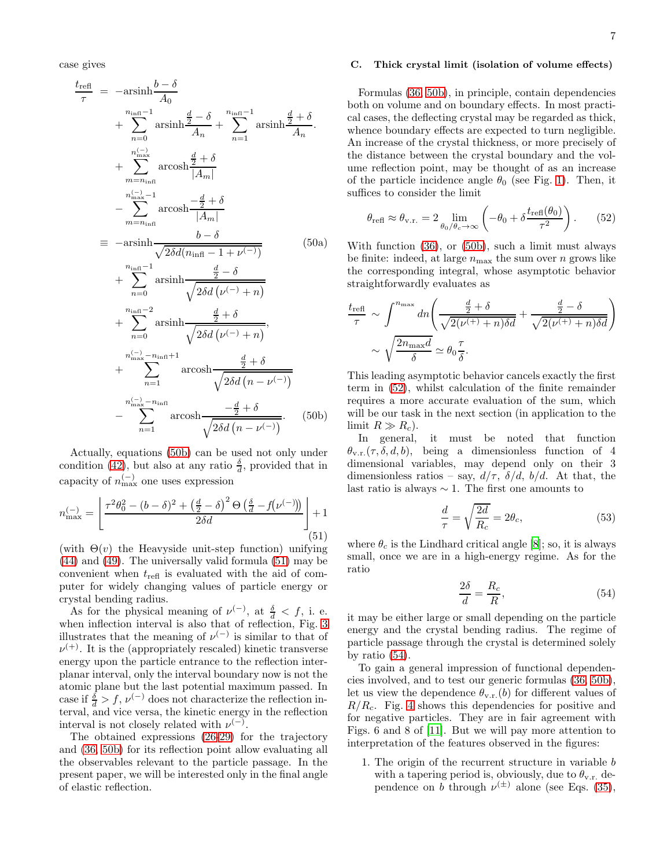case gives

<span id="page-6-2"></span>
$$
\frac{t_{\text{refl}}}{\tau} = -\operatorname{arsinh}\frac{b-\delta}{A_0} \n+ \sum_{n=0}^{n_{\text{infl}}-1} \operatorname{arsinh}\frac{\frac{d}{2}-\delta}{A_n} + \sum_{n=1}^{n_{\text{infl}}-1} \operatorname{arsinh}\frac{\frac{d}{2}+\delta}{A_n} \n+ \sum_{m=n_{\text{infl}}}^{n_{\text{inex}}-1} \operatorname{arcosh}\frac{\frac{d}{2}+\delta}{|A_m|} \n- \sum_{m=n_{\text{infl}}}^{n_{\text{inex}}-1} \operatorname{arcosh}\frac{-\frac{d}{2}+\delta}{|A_m|} \n= -\operatorname{arsinh}\frac{b-\delta}{\sqrt{2\delta d(n_{\text{infl}}-1+\nu^{(-)})}} \n+ \sum_{n=0}^{n_{\text{infl}}-1} \operatorname{arsinh}\frac{\frac{d}{2}-\delta}{\sqrt{2\delta d(\nu^{(-)}+n)}} \n+ \sum_{n=0}^{n_{\text{infl}}-2} \operatorname{arsinh}\frac{\frac{d}{2}+\delta}{\sqrt{2\delta d(\nu^{(-)}+n)}} \n+ \sum_{n=1}^{n_{\text{inex}}^{\left(-1\right)}-n_{\text{infl}}+1} \operatorname{arcosh}\frac{\frac{d}{2}+\delta}{\sqrt{2\delta d(n-\nu^{(-)})}} \n- \sum_{n=1}^{n_{\text{inex}}^{\left(-1\right)}-n_{\text{infl}} \operatorname{arcosh}\frac{-\frac{d}{2}+\delta}{\sqrt{2\delta d(n-\nu^{(-)})}}.
$$
 (50b)

Actually, equations [\(50b\)](#page-6-2) can be used not only under condition [\(42\)](#page-5-3), but also at any ratio  $\frac{\delta}{d}$ , provided that in capacity of  $n_{\text{max}}^{(-)}$  one uses expression

<span id="page-6-0"></span>
$$
n_{\max}^{(-)} = \left[ \frac{\tau^2 \theta_0^2 - (b - \delta)^2 + \left(\frac{d}{2} - \delta\right)^2 \Theta\left(\frac{\delta}{d} - f(\nu^{(-)})\right)}{2\delta d} \right] + 1
$$
\n(51)

(with  $\Theta(v)$  the Heavyside unit-step function) unifying [\(44\)](#page-5-5) and [\(49\)](#page-5-6). The universally valid formula [\(51\)](#page-6-0) may be convenient when  $t_{\text{refl}}$  is evaluated with the aid of computer for widely changing values of particle energy or crystal bending radius.

As for the physical meaning of  $\nu^{(-)}$ , at  $\frac{\delta}{d} < f$ , i. e. when inflection interval is also that of reflection, Fig. [3](#page-3-3) illustrates that the meaning of  $\nu^{(-)}$  is similar to that of  $\nu^{(+)}$ . It is the (appropriately rescaled) kinetic transverse energy upon the particle entrance to the reflection interplanar interval, only the interval boundary now is not the atomic plane but the last potential maximum passed. In case if  $\frac{\delta}{d} > f$ ,  $\nu^{(-)}$  does not characterize the reflection interval, and vice versa, the kinetic energy in the reflection interval is not closely related with  $\nu^{(-)}$ .

The obtained expressions [\(26](#page-3-6)[-29\)](#page-3-5) for the trajectory and [\(36,](#page-4-6) [50b\)](#page-6-2) for its reflection point allow evaluating all the observables relevant to the particle passage. In the present paper, we will be interested only in the final angle of elastic reflection.

### <span id="page-6-4"></span>C. Thick crystal limit (isolation of volume effects)

Formulas [\(36,](#page-4-6) [50b\)](#page-6-2), in principle, contain dependencies both on volume and on boundary effects. In most practical cases, the deflecting crystal may be regarded as thick, whence boundary effects are expected to turn negligible. An increase of the crystal thickness, or more precisely of the distance between the crystal boundary and the volume reflection point, may be thought of as an increase of the particle incidence angle  $\theta_0$  (see Fig. [1\)](#page-1-1). Then, it suffices to consider the limit

<span id="page-6-1"></span>
$$
\theta_{\text{refl}} \approx \theta_{\text{v.r.}} = 2 \lim_{\theta_0/\theta_c \to \infty} \left( -\theta_0 + \delta \frac{t_{\text{refl}}(\theta_0)}{\tau^2} \right). \tag{52}
$$

With function [\(36\)](#page-4-6), or [\(50b\)](#page-6-2), such a limit must always be finite: indeed, at large  $n_{\text{max}}$  the sum over n grows like the corresponding integral, whose asymptotic behavior straightforwardly evaluates as

$$
\frac{t_{\text{refl}}}{\tau} \sim \int_{-\infty}^{n_{\text{max}}} dn \left( \frac{\frac{d}{2} + \delta}{\sqrt{2(\nu^{(+)} + n)\delta d}} + \frac{\frac{d}{2} - \delta}{\sqrt{2(\nu^{(+)} + n)\delta d}} \right)
$$

$$
\sim \sqrt{\frac{2n_{\text{max}}d}{\delta}} \simeq \theta_0 \frac{\tau}{\delta}.
$$

This leading asymptotic behavior cancels exactly the first term in [\(52\)](#page-6-1), whilst calculation of the finite remainder requires a more accurate evaluation of the sum, which will be our task in the next section (in application to the limit  $R \gg R_c$ ).

In general, it must be noted that function  $\theta_{v.r.}(\tau, \delta, d, b)$ , being a dimensionless function of 4 dimensional variables, may depend only on their 3 dimensionless ratios – say,  $d/\tau$ ,  $\delta/d$ ,  $b/d$ . At that, the last ratio is always  $\sim$  1. The first one amounts to

$$
\frac{d}{\tau} = \sqrt{\frac{2d}{R_c}} = 2\theta_c,\tag{53}
$$

where  $\theta_c$  is the Lindhard critical angle [\[8\]](#page-19-6); so, it is always small, once we are in a high-energy regime. As for the ratio

<span id="page-6-3"></span>
$$
\frac{2\delta}{d} = \frac{R_c}{R},\tag{54}
$$

it may be either large or small depending on the particle energy and the crystal bending radius. The regime of particle passage through the crystal is determined solely by ratio [\(54\)](#page-6-3).

To gain a general impression of functional dependencies involved, and to test our generic formulas [\(36,](#page-4-6) [50b\)](#page-6-2), let us view the dependence  $\theta_{v.r.}(b)$  for different values of  $R/R_c$ . Fig. [4](#page-7-1) shows this dependencies for positive and for negative particles. They are in fair agreement with Figs. 6 and 8 of [\[11\]](#page-19-16). But we will pay more attention to interpretation of the features observed in the figures:

1. The origin of the recurrent structure in variable b with a tapering period is, obviously, due to  $\theta_{v,r}$  dependence on b through  $\nu^{(\pm)}$  alone (see Eqs. [\(35\)](#page-4-7),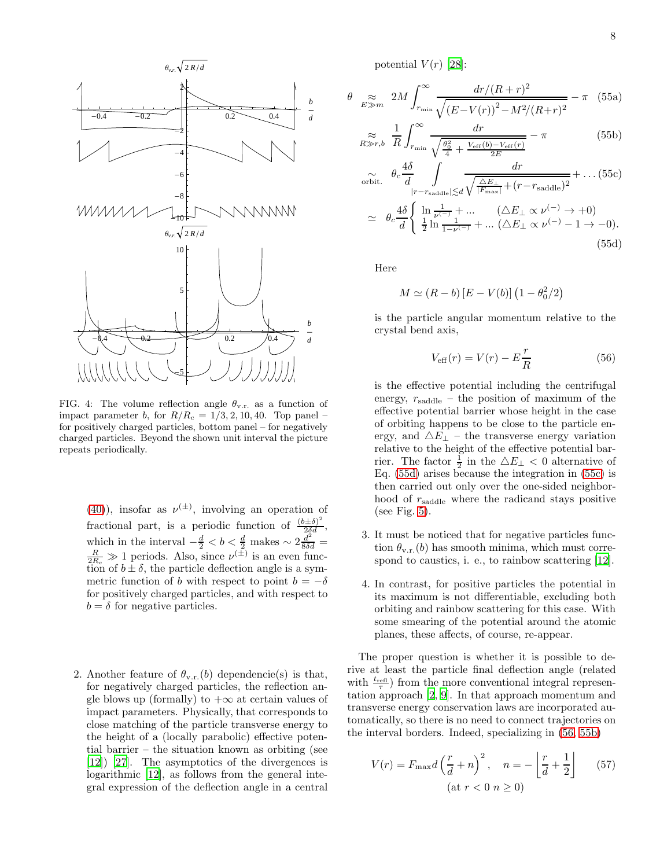

<span id="page-7-1"></span>FIG. 4: The volume reflection angle  $\theta_{v.r.}$  as a function of impact parameter b, for  $R/R_c = 1/3, 2, 10, 40$ . Top panel – for positively charged particles, bottom panel – for negatively charged particles. Beyond the shown unit interval the picture repeats periodically.

[\(40\)](#page-5-0)), insofar as  $\nu^{(\pm)}$ , involving an operation of fractional part, is a periodic function of  $\frac{(b\pm\delta)^2}{2\delta d}$ , which in the interval  $-\frac{d}{2} < b < \frac{d}{2}$  makes ~  $2\frac{d^2}{8\delta d} = \frac{R}{2R_c} \gg 1$  periods. Also, since  $\nu^{(\pm)}$  is an even function of  $b \pm \delta$ , the particle deflection angle is a symmetric function of b with respect to point  $b = -\delta$ for positively charged particles, and with respect to  $b = \delta$  for negative particles.

2. Another feature of  $\theta_{v,r}(b)$  dependencie(s) is that, for negatively charged particles, the reflection angle blows up (formally) to  $+\infty$  at certain values of impact parameters. Physically, that corresponds to close matching of the particle transverse energy to the height of a (locally parabolic) effective potential barrier – the situation known as orbiting (see [\[12\]](#page-19-17)) [\[27\]](#page-19-18). The asymptotics of the divergences is logarithmic [\[12](#page-19-17)], as follows from the general integral expression of the deflection angle in a central

potential  $V(r)$  [\[28\]](#page-19-19):

<span id="page-7-0"></span>
$$
\theta \sum_{E \gg m} 2M \int_{r_{\rm min}}^{\infty} \frac{dr/(R+r)^2}{\sqrt{(E-V(r))^2 - M^2/(R+r)^2}} - \pi \quad (55a)
$$

$$
\underset{R \gg r, b}{\approx} \frac{1}{R} \int_{r_{\text{min}}}^{\infty} \frac{dr}{\sqrt{\frac{\theta_0^2}{4} + \frac{V_{\text{eff}}(b) - V_{\text{eff}}(r)}{2E}}} - \pi
$$
 (55b)

$$
\widetilde{\omega}_{\text{orbit.}} \quad \theta_c \frac{4\delta}{d} \int_{|r-r_{\text{saddle}}| \le d} \frac{dr}{\sqrt{\frac{\Delta E_{\perp}}{|F_{\text{max}}|} + (r-r_{\text{saddle}})^2}} + \dots (55c)
$$
\n
$$
\simeq \quad \theta_c \frac{4\delta}{d} \left\{ \frac{\ln \frac{1}{\nu^{(-)}} + \dots}{\frac{1}{1-\nu^{(-)}} + \dots (\Delta E_{\perp} \propto \nu^{(-)} - 1 \to -0)}.
$$
\n
$$
(55d)
$$

Here

$$
M \simeq (R - b) [E - V(b)] (1 - \theta_0^2/2)
$$

is the particle angular momentum relative to the crystal bend axis,

<span id="page-7-2"></span>
$$
V_{\text{eff}}(r) = V(r) - E\frac{r}{R}
$$
\n(56)

is the effective potential including the centrifugal energy,  $r_{\text{saddle}}$  – the position of maximum of the effective potential barrier whose height in the case of orbiting happens to be close to the particle energy, and  $\Delta E_{\perp}$  – the transverse energy variation relative to the height of the effective potential barrier. The factor  $\frac{1}{2}$  in the  $\Delta E_{\perp} < 0$  alternative of Eq. [\(55d\)](#page-7-0) arises because the integration in [\(55c\)](#page-7-0) is then carried out only over the one-sided neighborhood of  $r_{\text{saddle}}$  where the radicand stays positive (see Fig. [5\)](#page-8-1).

- 3. It must be noticed that for negative particles function  $\theta_{v.r.}(b)$  has smooth minima, which must corre-spond to caustics, i. e., to rainbow scattering [\[12](#page-19-17)].
- 4. In contrast, for positive particles the potential in its maximum is not differentiable, excluding both orbiting and rainbow scattering for this case. With some smearing of the potential around the atomic planes, these affects, of course, re-appear.

The proper question is whether it is possible to derive at least the particle final deflection angle (related with  $\frac{t_{\text{refl}}}{\tau}$ ) from the more conventional integral representation approach [\[2,](#page-19-1) [9\]](#page-19-7). In that approach momentum and transverse energy conservation laws are incorporated automatically, so there is no need to connect trajectories on the interval borders. Indeed, specializing in [\(56,](#page-7-2) [55b\)](#page-7-0)

$$
V(r) = F_{\text{max}}d\left(\frac{r}{d} + n\right)^2, \quad n = -\left\lfloor\frac{r}{d} + \frac{1}{2}\right\rfloor \qquad (57)
$$

$$
(\text{at } r < 0 \ n \ge 0)
$$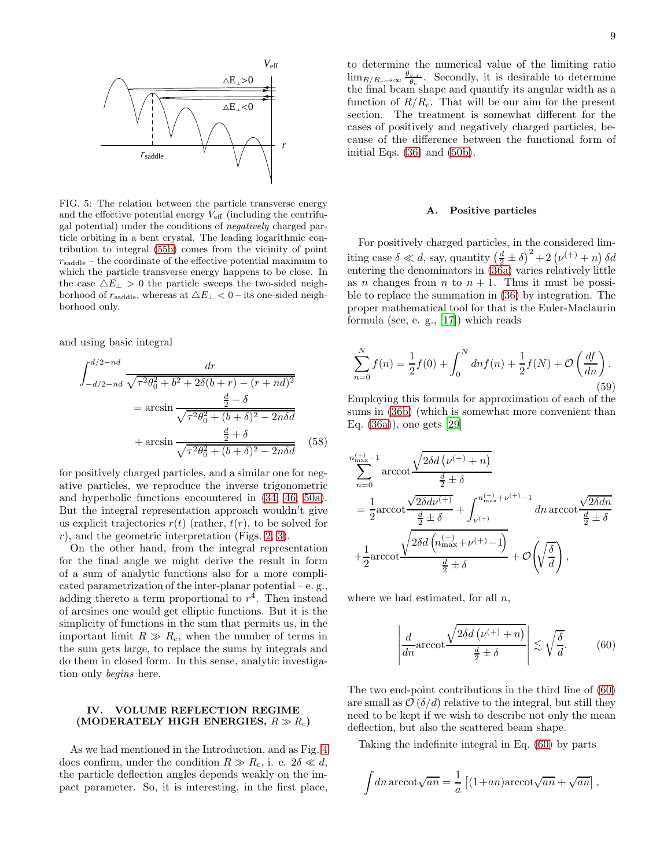

<span id="page-8-1"></span>FIG. 5: The relation between the particle transverse energy and the effective potential energy  $V_{\text{eff}}$  (including the centrifugal potential) under the conditions of negatively charged particle orbiting in a bent crystal. The leading logarithmic contribution to integral [\(55b\)](#page-7-0) comes from the vicinity of point  $r_{\text{saddle}}$  – the coordinate of the effective potential maximum to which the particle transverse energy happens to be close. In the case  $\Delta E_{\perp} > 0$  the particle sweeps the two-sided neighborhood of  $r_{\text{saddle}}$ , whereas at  $\Delta E_{\perp} < 0$  – its one-sided neighborhood only.

and using basic integral

$$
\int_{-d/2 - nd}^{d/2 - nd} \frac{dr}{\sqrt{\tau^2 \theta_0^2 + b^2 + 2\delta(b + r) - (r + nd)^2}}
$$
  
=  $\arcsin \frac{\frac{d}{2} - \delta}{\sqrt{\tau^2 \theta_0^2 + (b + \delta)^2 - 2n\delta d}}$   
+  $\arcsin \frac{\frac{d}{2} + \delta}{\sqrt{\tau^2 \theta_0^2 + (b + \delta)^2 - 2n\delta d}}$  (58)

for positively charged particles, and a similar one for negative particles, we reproduce the inverse trigonometric and hyperbolic functions encountered in [\(34,](#page-4-2) [46,](#page-5-7) [50a\)](#page-6-2). But the integral representation approach wouldn't give us explicit trajectories  $r(t)$  (rather,  $t(r)$ , to be solved for r), and the geometric interpretation (Figs. [2,](#page-3-1) [3\)](#page-3-3).

On the other hand, from the integral representation for the final angle we might derive the result in form of a sum of analytic functions also for a more complicated parametrization of the inter-planar potential – e. g., adding thereto a term proportional to  $r<sup>4</sup>$ . Then instead of arcsines one would get elliptic functions. But it is the simplicity of functions in the sum that permits us, in the important limit  $R \gg R_c$ , when the number of terms in the sum gets large, to replace the sums by integrals and do them in closed form. In this sense, analytic investigation only begins here.

# <span id="page-8-0"></span>IV. VOLUME REFLECTION REGIME (MODERATELY HIGH ENERGIES,  $R \gg R_c$ )

As we had mentioned in the Introduction, and as Fig. [4](#page-7-1) does confirm, under the condition  $R \gg R_c$ , i. e.  $2\delta \ll d$ , the particle deflection angles depends weakly on the impact parameter. So, it is interesting, in the first place,

to determine the numerical value of the limiting ratio  $\lim_{R/R_c \to \infty} \frac{\theta_{\rm y.r.}}{\theta_c}$ . Secondly, it is desirable to determine the final beam shape and quantify its angular width as a function of  $R/R_c$ . That will be our aim for the present section. The treatment is somewhat different for the cases of positively and negatively charged particles, because of the difference between the functional form of initial Eqs. [\(36\)](#page-4-6) and [\(50b\)](#page-6-2).

### <span id="page-8-3"></span>A. Positive particles

For positively charged particles, in the considered limiting case  $\delta \ll d$ , say, quantity  $\left(\frac{d}{2} \pm \delta\right)^2 + 2\left(\nu^{(+)} + n\right)\delta d$ entering the denominators in [\(36a\)](#page-4-8) varies relatively little as *n* changes from *n* to  $n + 1$ . Thus it must be possible to replace the summation in [\(36\)](#page-4-6) by integration. The proper mathematical tool for that is the Euler-Maclaurin formula (see, e. g., [\[17\]](#page-19-20)) which reads

$$
\sum_{n=0}^{N} f(n) = \frac{1}{2}f(0) + \int_{0}^{N} dn f(n) + \frac{1}{2}f(N) + \mathcal{O}\left(\frac{df}{dn}\right).
$$
\n(59)

Employing this formula for approximation of each of the sums in [\(36b\)](#page-4-9) (which is somewhat more convenient than Eq. [\(36a\)](#page-4-8)), one gets [\[29](#page-19-21)]

$$
\sum_{n=0}^{n_{\text{max}}^{\text{(+)}}-1} \operatorname{arccot} \frac{\sqrt{2\delta d\left(\nu^{(+)}+n\right)}}{\frac{d}{2}\pm\delta} \n= \frac{1}{2}\operatorname{arccot} \frac{\sqrt{2\delta d\nu^{(+)}}}{\frac{d}{2}\pm\delta} + \int_{\nu^{(+)}}^{n_{\text{max}}^{\text{(+)}}+\nu^{(+)}-1} dn \operatorname{arccot} \frac{\sqrt{2\delta dn}}{\frac{d}{2}\pm\delta} \n+ \frac{1}{2}\operatorname{arccot} \frac{\sqrt{2\delta d\left(n_{\text{max}}^{\text{(+)}}+\nu^{(+)}-1\right)}}{\frac{d}{2}\pm\delta} + \mathcal{O}\left(\sqrt{\frac{\delta}{d}}\right),
$$

where we had estimated, for all  $n$ ,

<span id="page-8-2"></span>
$$
\left| \frac{d}{dn} \operatorname{arccot} \frac{\sqrt{2\delta d \left( \nu^{(+)} + n \right)}}{\frac{d}{2} \pm \delta} \right| \lesssim \sqrt{\frac{\delta}{d}}.\tag{60}
$$

The two end-point contributions in the third line of [\(60\)](#page-8-2) are small as  $\mathcal{O}(\delta/d)$  relative to the integral, but still they need to be kept if we wish to describe not only the mean deflection, but also the scattered beam shape.

Taking the indefinite integral in Eq. [\(60\)](#page-8-2) by parts

$$
\int dn \operatorname{arccot} \sqrt{an} = \frac{1}{a} \left[ (1+an) \operatorname{arccot} \sqrt{an} + \sqrt{an} \right],
$$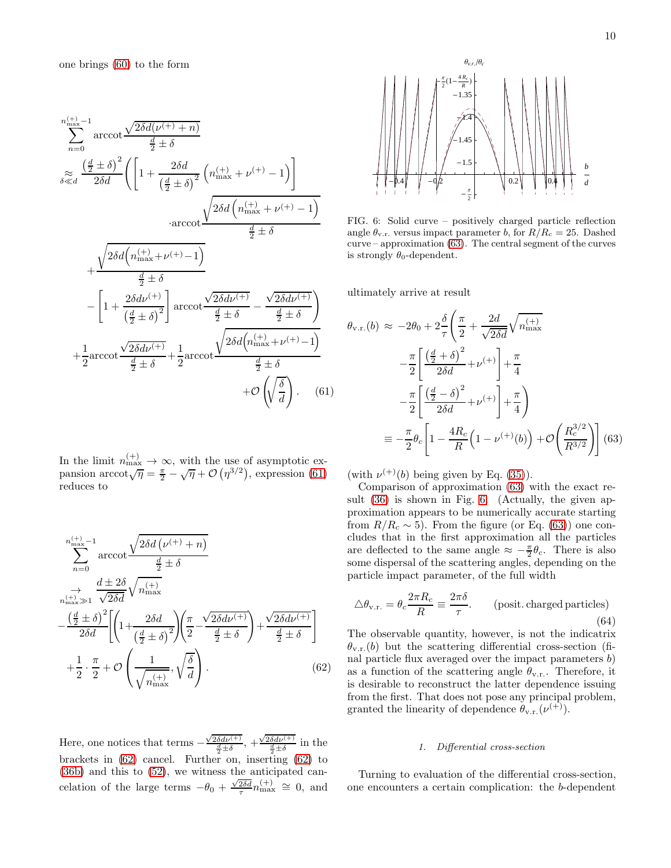one brings [\(60\)](#page-8-2) to the form

<span id="page-9-0"></span>
$$
\sum_{n=0}^{n_{\text{max}}^{\text{(+)}}-1} \operatorname{arccot} \frac{\sqrt{2\delta d(\nu^{(+)}+n)}}{\frac{d}{2}\pm\delta}
$$
\n
$$
\approx \frac{\left(\frac{d}{2}\pm\delta\right)^2}{2\delta d} \left( \left[ 1 + \frac{2\delta d}{\left(\frac{d}{2}\pm\delta\right)^2} \left( n_{\text{max}}^{(+)} + \nu^{(+)} - 1 \right) \right] \right.
$$
\n
$$
\left. \arccot \frac{\sqrt{2\delta d \left( n_{\text{max}}^{(+)} + \nu^{(+)} - 1 \right)}}{\frac{d}{2}\pm\delta} + \frac{\sqrt{2\delta d \left( n_{\text{max}}^{(+)} + \nu^{(+)} - 1 \right)}}{-\frac{d}{2}\pm\delta} - \left[ 1 + \frac{2\delta d\nu^{(+)}}{\left(\frac{d}{2}\pm\delta\right)^2} \right] \operatorname{arccot} \frac{\sqrt{2\delta d\nu^{(+)}}}{\frac{d}{2}\pm\delta} - \frac{\sqrt{2\delta d\nu^{(+)}}}{\frac{d}{2}\pm\delta} + \frac{1}{2} \operatorname{arccot} \frac{\sqrt{2\delta d \left( n_{\text{max}}^{(+)} + \nu^{(+)} - 1 \right)}}{\frac{d}{2}\pm\delta} + \mathcal{O}\left(\sqrt{\frac{\delta}{d}}\right). \quad (61)
$$

In the limit  $n_{\max}^{(+)} \rightarrow \infty$ , with the use of asymptotic expansion  $\arccot \sqrt{\eta} = \frac{\pi}{2} - \sqrt{\eta} + \mathcal{O}\left(\eta^{3/2}\right)$ , expression [\(61\)](#page-9-0) reduces to

<span id="page-9-1"></span>
$$
\sum_{n=0}^{n_{\max}^{(+)}-1} \operatorname{arccot} \frac{\sqrt{2\delta d\left(\nu^{(+)}+n\right)}}{\frac{d}{2} \pm \delta}
$$
\n
$$
\rightarrow \frac{d \pm 2\delta}{\sqrt{2\delta d}} \sqrt{n_{\max}^{(+)}}
$$
\n
$$
-\frac{\left(\frac{d}{2} \pm \delta\right)^{2}}{2\delta d} \left[\left(1 + \frac{2\delta d}{\left(\frac{d}{2} \pm \delta\right)^{2}}\right) \left(\frac{\pi}{2} - \frac{\sqrt{2\delta d\nu^{(+)}}}{\frac{d}{2} \pm \delta}\right) + \frac{\sqrt{2\delta d\nu^{(+)}}}{\frac{d}{2} \pm \delta}\right]
$$
\n
$$
+\frac{1}{2} \cdot \frac{\pi}{2} + \mathcal{O}\left(\frac{1}{\sqrt{n_{\max}^{(+)}}}, \sqrt{\frac{\delta}{d}}\right). \tag{62}
$$

Here, one notices that terms  $-\frac{\sqrt{2\delta d\nu^{(+)}}}{\frac{d}{2}\pm\delta}$ ,  $+\frac{\sqrt{2\delta d\nu^{(+)}}}{\frac{d}{2}\pm\delta}$  in the brackets in [\(62\)](#page-9-1) cancel. Further on, inserting [\(62\)](#page-9-1) to [\(36b\)](#page-4-9) and this to [\(52\)](#page-6-1), we witness the anticipated cancelation of the large terms  $-\theta_0 + \frac{\sqrt{2\delta d}}{\tau} n_{\text{max}}^{(+)} \approx 0$ , and



<span id="page-9-3"></span>FIG. 6: Solid curve – positively charged particle reflection angle  $\theta_{v.r.}$  versus impact parameter b, for  $R/R_c = 25$ . Dashed curve – approximation [\(63\)](#page-9-2). The central segment of the curves is strongly  $\theta_0$ -dependent.

ultimately arrive at result

<span id="page-9-2"></span>
$$
\theta_{\text{v.r.}}(b) \approx -2\theta_0 + 2\frac{\delta}{\tau} \left( \frac{\pi}{2} + \frac{2d}{\sqrt{2\delta d}} \sqrt{n_{\text{max}}^{(+)}} -\frac{\pi}{2} \left[ \frac{\left(\frac{d}{2} + \delta\right)^2}{2\delta d} + \nu^{(+)} \right] + \frac{\pi}{4} -\frac{\pi}{2} \left[ \frac{\left(\frac{d}{2} - \delta\right)^2}{2\delta d} + \nu^{(+)} \right] + \frac{\pi}{4} \right)
$$

$$
= -\frac{\pi}{2} \theta_c \left[ 1 - \frac{4R_c}{R} \left( 1 - \nu^{(+)}(b) \right) + \mathcal{O}\left( \frac{R_c^{3/2}}{R^{3/2}} \right) \right] (63)
$$

(with  $\nu^{(+)}(b)$  being given by Eq. [\(35\)](#page-4-7)).

Comparison of approximation [\(63\)](#page-9-2) with the exact result [\(36\)](#page-4-6) is shown in Fig. [6.](#page-9-3) (Actually, the given approximation appears to be numerically accurate starting from  $R/R_c \sim 5$ ). From the figure (or Eq. [\(63\)](#page-9-2)) one concludes that in the first approximation all the particles are deflected to the same angle  $\approx -\frac{\pi}{2}\theta_c$ . There is also some dispersal of the scattering angles, depending on the particle impact parameter, of the full width

<span id="page-9-4"></span>
$$
\Delta \theta_{\text{v.r.}} = \theta_c \frac{2\pi R_c}{R} \equiv \frac{2\pi \delta}{\tau}.
$$
 (posit. charged particles) (64)

The observable quantity, however, is not the indicatrix  $\theta_{v.r.}(b)$  but the scattering differential cross-section (final particle flux averaged over the impact parameters b) as a function of the scattering angle  $\theta_{v.r.}$ . Therefore, it is desirable to reconstruct the latter dependence issuing from the first. That does not pose any principal problem, granted the linearity of dependence  $\theta_{v.r.}(\nu^{(+)})$ .

### 1. Differential cross-section

Turning to evaluation of the differential cross-section, one encounters a certain complication: the b-dependent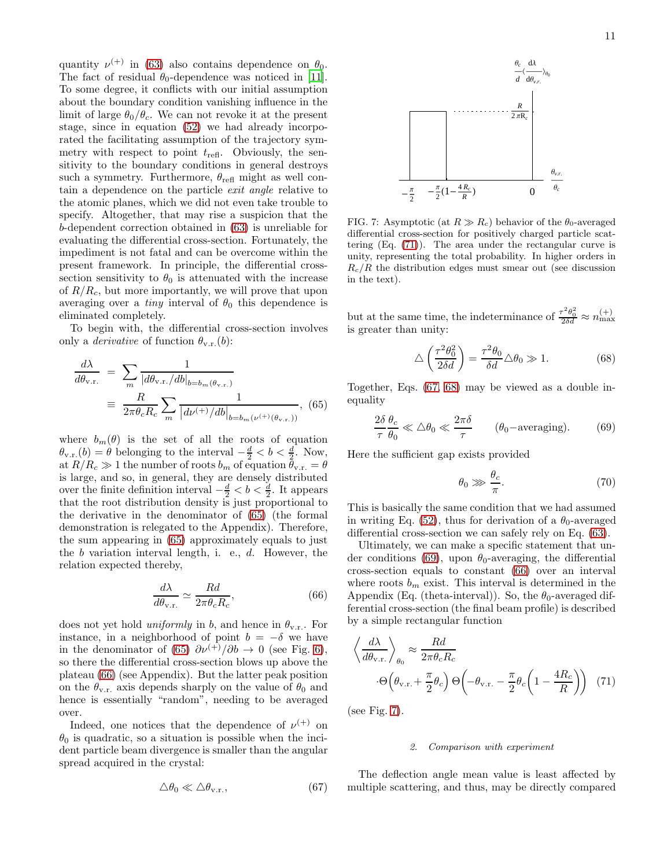quantity  $\nu^{(+)}$  in [\(63\)](#page-9-2) also contains dependence on  $\theta_0$ . The fact of residual  $\theta_0$ -dependence was noticed in [\[11\]](#page-19-16). To some degree, it conflicts with our initial assumption about the boundary condition vanishing influence in the limit of large  $\theta_0/\theta_c$ . We can not revoke it at the present stage, since in equation [\(52\)](#page-6-1) we had already incorporated the facilitating assumption of the trajectory symmetry with respect to point  $t_{\text{refl}}$ . Obviously, the sensitivity to the boundary conditions in general destroys such a symmetry. Furthermore,  $\theta_{\text{refl}}$  might as well contain a dependence on the particle exit angle relative to the atomic planes, which we did not even take trouble to specify. Altogether, that may rise a suspicion that the b-dependent correction obtained in [\(63\)](#page-9-2) is unreliable for evaluating the differential cross-section. Fortunately, the impediment is not fatal and can be overcome within the present framework. In principle, the differential crosssection sensitivity to  $\theta_0$  is attenuated with the increase of  $R/R_c$ , but more importantly, we will prove that upon averaging over a *tiny* interval of  $\theta_0$  this dependence is eliminated completely.

To begin with, the differential cross-section involves only a *derivative* of function  $\theta_{v.r.}(b)$ :

<span id="page-10-0"></span>
$$
\frac{d\lambda}{d\theta_{\text{v.r.}}} = \sum_{m} \frac{1}{|d\theta_{\text{v.r.}}/db|_{b=b_m(\theta_{\text{v.r.}})}}\n= \frac{R}{2\pi\theta_c R_c} \sum_{m} \frac{1}{|d\nu^{(+)}/db|_{b=b_m(\nu^{(+)}(\theta_{\text{v.r.}}))}},
$$
(65)

where  $b_m(\theta)$  is the set of all the roots of equation  $\theta_{v.r.}(b) = \theta$  belonging to the interval  $-\frac{d}{2} < b < \frac{d}{2}$ . Now, at  $R/R_c \gg 1$  the number of roots  $b_m$  of equation  $\theta_{v.r.} = \theta$ is large, and so, in general, they are densely distributed over the finite definition interval  $-\frac{d}{2} < b < \frac{d}{2}$ . It appears that the root distribution density is just proportional to the derivative in the denominator of [\(65\)](#page-10-0) (the formal demonstration is relegated to the Appendix). Therefore, the sum appearing in [\(65\)](#page-10-0) approximately equals to just the b variation interval length, i. e., d. However, the relation expected thereby,

<span id="page-10-1"></span>
$$
\frac{d\lambda}{d\theta_{\text{v.r.}}} \simeq \frac{Rd}{2\pi\theta_c R_c},\tag{66}
$$

does not yet hold *uniformly* in b, and hence in  $\theta_{v,r}$ . For instance, in a neighborhood of point  $b = -\delta$  we have in the denominator of [\(65\)](#page-10-0)  $\partial \nu^{(+)} / \partial b \rightarrow 0$  (see Fig. [6\)](#page-9-3), so there the differential cross-section blows up above the plateau [\(66\)](#page-10-1) (see Appendix). But the latter peak position on the  $\theta_{v.r.}$  axis depends sharply on the value of  $\theta_0$  and hence is essentially "random", needing to be averaged over.

Indeed, one notices that the dependence of  $\nu^{(+)}$  on  $\theta_0$  is quadratic, so a situation is possible when the incident particle beam divergence is smaller than the angular spread acquired in the crystal:

<span id="page-10-3"></span>
$$
\Delta\theta_0 \ll \Delta\theta_{\rm v.r.},\tag{67}
$$



<span id="page-10-6"></span>FIG. 7: Asymptotic (at  $R \gg R_c$ ) behavior of the  $\theta_0$ -averaged differential cross-section for positively charged particle scattering (Eq. [\(71\)](#page-10-2)). The area under the rectangular curve is unity, representing the total probability. In higher orders in  $R_c/R$  the distribution edges must smear out (see discussion in the text).

but at the same time, the indeterminance of  $\frac{\tau^2 \theta_0^2}{2\delta d} \approx n_{\max}^{(+)}$ is greater than unity:

<span id="page-10-4"></span>
$$
\triangle \left(\frac{\tau^2 \theta_0^2}{2\delta d}\right) = \frac{\tau^2 \theta_0}{\delta d} \triangle \theta_0 \gg 1. \tag{68}
$$

Together, Eqs. [\(67,](#page-10-3) [68\)](#page-10-4) may be viewed as a double inequality

<span id="page-10-5"></span>
$$
\frac{2\delta}{\tau}\frac{\theta_c}{\theta_0} \ll \Delta\theta_0 \ll \frac{2\pi\delta}{\tau} \qquad (\theta_0 - \text{averaging}). \tag{69}
$$

Here the sufficient gap exists provided

$$
\theta_0 \ggg \frac{\theta_c}{\pi}.\tag{70}
$$

This is basically the same condition that we had assumed in writing Eq. [\(52\)](#page-6-1), thus for derivation of a  $\theta_0$ -averaged differential cross-section we can safely rely on Eq. [\(63\)](#page-9-2).

Ultimately, we can make a specific statement that un-der conditions [\(69\)](#page-10-5), upon  $\theta_0$ -averaging, the differential cross-section equals to constant [\(66\)](#page-10-1) over an interval where roots  $b_m$  exist. This interval is determined in the Appendix (Eq. (theta-interval)). So, the  $\theta_0$ -averaged differential cross-section (the final beam profile) is described by a simple rectangular function

<span id="page-10-2"></span>
$$
\left\langle \frac{d\lambda}{d\theta_{\text{v.r.}}}\right\rangle_{\theta_0} \approx \frac{Rd}{2\pi\theta_c R_c}
$$
\n
$$
\cdot \Theta\left(\theta_{\text{v.r.}} + \frac{\pi}{2}\theta_c\right) \Theta\left(-\theta_{\text{v.r.}} - \frac{\pi}{2}\theta_c \left(1 - \frac{4R_c}{R}\right)\right) (71)
$$

(see Fig. [7\)](#page-10-6).

### 2. Comparison with experiment

The deflection angle mean value is least affected by multiple scattering, and thus, may be directly compared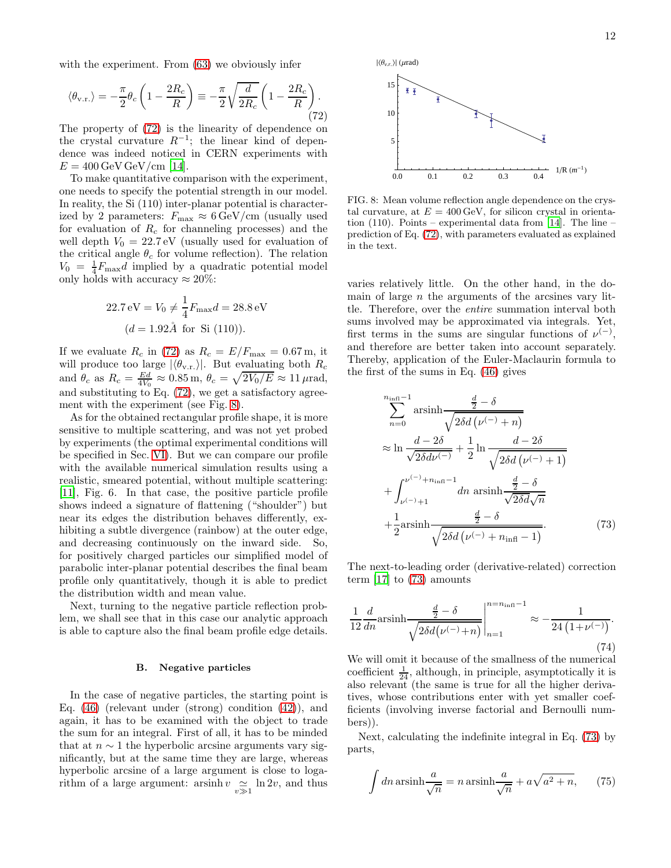with the experiment. From [\(63\)](#page-9-2) we obviously infer

<span id="page-11-0"></span>
$$
\langle \theta_{\rm v.r.} \rangle = -\frac{\pi}{2} \theta_c \left( 1 - \frac{2R_c}{R} \right) \equiv -\frac{\pi}{2} \sqrt{\frac{d}{2R_c}} \left( 1 - \frac{2R_c}{R} \right). \tag{72}
$$

The property of [\(72\)](#page-11-0) is the linearity of dependence on the crystal curvature  $R^{-1}$ ; the linear kind of dependence was indeed noticed in CERN experiments with  $E = 400 \,\text{GeV} \,\text{GeV}/\text{cm}$  [\[14\]](#page-19-22).

To make quantitative comparison with the experiment, one needs to specify the potential strength in our model. In reality, the Si (110) inter-planar potential is characterized by 2 parameters:  $F_{\text{max}} \approx 6 \,\text{GeV/cm}$  (usually used for evaluation of  $R_c$  for channeling processes) and the well depth  $V_0 = 22.7 \,\text{eV}$  (usually used for evaluation of the critical angle  $\theta_c$  for volume reflection). The relation  $V_0 = \frac{1}{4} F_{\text{max}} d$  implied by a quadratic potential model only holds with accuracy  $\approx 20\%$ :

$$
22.7 \text{ eV} = V_0 \neq \frac{1}{4} F_{\text{max}} d = 28.8 \text{ eV}
$$

$$
(d = 1.92 \text{ Å} \text{ for Si (110)}).
$$

If we evaluate  $R_c$  in [\(72\)](#page-11-0) as  $R_c = E/F_{\text{max}} = 0.67 \text{ m}$ , it will produce too large  $|\langle \theta_{v,r.} \rangle|$ . But evaluating both  $R_c$ and  $\theta_c$  as  $R_c = \frac{Ed}{4V_0} \approx 0.85 \,\text{m}, \,\theta_c = \sqrt{2V_0/E} \approx 11 \,\mu\text{rad},$ and substituting to Eq. [\(72\)](#page-11-0), we get a satisfactory agreement with the experiment (see Fig. [8\)](#page-11-1).

As for the obtained rectangular profile shape, it is more sensitive to multiple scattering, and was not yet probed by experiments (the optimal experimental conditions will be specified in Sec. [VI\)](#page-16-0). But we can compare our profile with the available numerical simulation results using a realistic, smeared potential, without multiple scattering: [\[11\]](#page-19-16), Fig. 6. In that case, the positive particle profile shows indeed a signature of flattening ("shoulder") but near its edges the distribution behaves differently, exhibiting a subtle divergence (rainbow) at the outer edge, and decreasing continuously on the inward side. So, for positively charged particles our simplified model of parabolic inter-planar potential describes the final beam profile only quantitatively, though it is able to predict the distribution width and mean value.

Next, turning to the negative particle reflection problem, we shall see that in this case our analytic approach is able to capture also the final beam profile edge details.

### B. Negative particles

In the case of negative particles, the starting point is Eq. [\(46\)](#page-5-7) (relevant under (strong) condition [\(42\)](#page-5-3)), and again, it has to be examined with the object to trade the sum for an integral. First of all, it has to be minded that at  $n \sim 1$  the hyperbolic arcsine arguments vary significantly, but at the same time they are large, whereas hyperbolic arcsine of a large argument is close to logarithm of a large argument:  $\operatorname{arsinh} v \underset{v \gg 1}{\simeq} \ln 2v$ , and thus



<span id="page-11-1"></span>FIG. 8: Mean volume reflection angle dependence on the crystal curvature, at  $E = 400 \,\text{GeV}$ , for silicon crystal in orientation  $(110)$ . Points – experimental data from [\[14\]](#page-19-22). The line – prediction of Eq. [\(72\)](#page-11-0), with parameters evaluated as explained in the text.

varies relatively little. On the other hand, in the domain of large  $n$  the arguments of the arcsines vary little. Therefore, over the entire summation interval both sums involved may be approximated via integrals. Yet, first terms in the sums are singular functions of  $\nu^{(-)}$ , and therefore are better taken into account separately. Thereby, application of the Euler-Maclaurin formula to the first of the sums in Eq. [\(46\)](#page-5-7) gives

<span id="page-11-2"></span>
$$
\sum_{n=0}^{n_{\text{infl}}-1} \operatorname{arsinh} \frac{\frac{d}{2} - \delta}{\sqrt{2\delta d \left(\nu^{(-)} + n\right)}}
$$
\n
$$
\approx \ln \frac{d - 2\delta}{\sqrt{2\delta d \nu^{(-)}}} + \frac{1}{2} \ln \frac{d - 2\delta}{\sqrt{2\delta d \left(\nu^{(-)} + 1\right)}}
$$
\n
$$
+ \int_{\nu^{(-)}+1}^{\nu^{(-)}+n_{\text{infl}}-1} dn \operatorname{arsinh} \frac{\frac{d}{2} - \delta}{\sqrt{2\delta d \sqrt{n}}}
$$
\n
$$
+ \frac{1}{2} \operatorname{arsinh} \frac{\frac{d}{2} - \delta}{\sqrt{2\delta d \left(\nu^{(-)} + n_{\text{infl}} - 1\right)}}.
$$
\n(73)

The next-to-leading order (derivative-related) correction term [\[17\]](#page-19-20) to [\(73\)](#page-11-2) amounts

$$
\frac{1}{12} \frac{d}{dn} \text{arsinh} \frac{\frac{d}{2} - \delta}{\sqrt{2\delta d(\nu^{(-)} + n)}} \Big|_{n=1}^{n=n_{\text{infl}}-1} \approx -\frac{1}{24 \left(1 + \nu^{(-)}\right)}.
$$
\n(74)

We will omit it because of the smallness of the numerical coefficient  $\frac{1}{24}$ , although, in principle, asymptotically it is also relevant (the same is true for all the higher derivatives, whose contributions enter with yet smaller coefficients (involving inverse factorial and Bernoulli numbers)).

Next, calculating the indefinite integral in Eq. [\(73\)](#page-11-2) by parts,

$$
\int dn \operatorname{arsinh}\frac{a}{\sqrt{n}} = n \operatorname{arsinh}\frac{a}{\sqrt{n}} + a\sqrt{a^2 + n},\qquad(75)
$$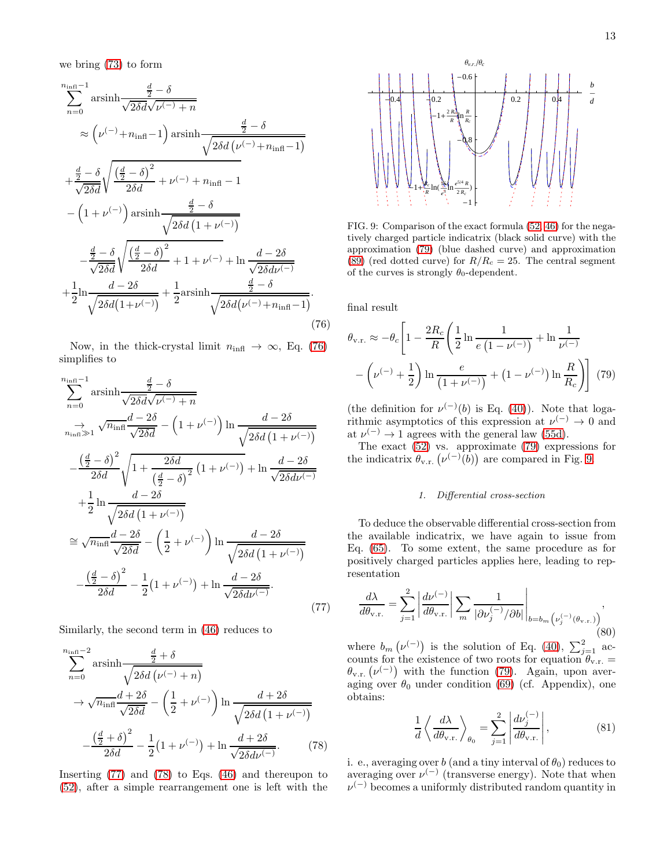<span id="page-12-0"></span>
$$
\sum_{n=0}^{n_{\text{infl}}-1} \operatorname{arsinh} \frac{\frac{d}{2} - \delta}{\sqrt{2\delta d \sqrt{\nu^{(-)}} + n}}
$$
\n
$$
\approx \left(\nu^{(-)} + n_{\text{infl}} - 1\right) \operatorname{arsinh} \frac{\frac{d}{2} - \delta}{\sqrt{2\delta d \left(\nu^{(-)} + n_{\text{infl}} - 1\right)}}
$$
\n
$$
+ \frac{\frac{d}{2} - \delta}{\sqrt{2\delta d}} \sqrt{\frac{\left(\frac{d}{2} - \delta\right)^2}{2\delta d}} + \nu^{(-)} + n_{\text{infl}} - 1
$$
\n
$$
- \left(1 + \nu^{(-)}\right) \operatorname{arsinh} \frac{\frac{d}{2} - \delta}{\sqrt{2\delta d \left(1 + \nu^{(-)}\right)}}
$$
\n
$$
- \frac{\frac{d}{2} - \delta}{\sqrt{2\delta d}} \sqrt{\frac{\left(\frac{d}{2} - \delta\right)^2}{2\delta d}} + 1 + \nu^{(-)} + \ln \frac{d - 2\delta}{\sqrt{2\delta d \nu^{(-)}}}
$$
\n
$$
+ \frac{1}{2} \ln \frac{d - 2\delta}{\sqrt{2\delta d \left(1 + \nu^{(-)}\right)}} + \frac{1}{2} \operatorname{arsinh} \frac{\frac{d}{2} - \delta}{\sqrt{2\delta d \left(\nu^{(-)} + n_{\text{infl}} - 1\right)}}.
$$
\n(76)

Now, in the thick-crystal limit  $n_{\text{infl}} \rightarrow \infty$ , Eq. [\(76\)](#page-12-0) simplifies to

<span id="page-12-1"></span>
$$
\sum_{n=0}^{n_{\text{infl}}-1} \operatorname{arsinh} \frac{\frac{d}{2} - \delta}{\sqrt{2\delta d}\sqrt{\nu^{(-)} + n}}
$$
\n
$$
\sum_{n_{\text{infl}} \gg 1}^{\infty} \sqrt{n_{\text{infl}}} \frac{d - 2\delta}{\sqrt{2\delta d}} - \left(1 + \nu^{(-)}\right) \ln \frac{d - 2\delta}{\sqrt{2\delta d \left(1 + \nu^{(-)}\right)}}
$$
\n
$$
-\frac{\left(\frac{d}{2} - \delta\right)^2}{2\delta d} \sqrt{1 + \frac{2\delta d}{\left(\frac{d}{2} - \delta\right)^2} \left(1 + \nu^{(-)}\right)} + \ln \frac{d - 2\delta}{\sqrt{2\delta d\nu^{(-)}}}
$$
\n
$$
+\frac{1}{2} \ln \frac{d - 2\delta}{\sqrt{2\delta d \left(1 + \nu^{(-)}\right)}}
$$
\n
$$
\approx \sqrt{n_{\text{infl}}} \frac{d - 2\delta}{\sqrt{2\delta d}} - \left(\frac{1}{2} + \nu^{(-)}\right) \ln \frac{d - 2\delta}{\sqrt{2\delta d \left(1 + \nu^{(-)}\right)}}
$$
\n
$$
-\frac{\left(\frac{d}{2} - \delta\right)^2}{2\delta d} - \frac{1}{2} \left(1 + \nu^{(-)}\right) + \ln \frac{d - 2\delta}{\sqrt{2\delta d\nu^{(-)}}}. \tag{77}
$$

Similarly, the second term in [\(46\)](#page-5-7) reduces to

<span id="page-12-2"></span>
$$
\sum_{n=0}^{n_{\text{infl}}-2} \operatorname{arsinh} \frac{\frac{d}{2} + \delta}{\sqrt{2\delta d \left(\nu^{(-)} + n\right)}}
$$
  
\n
$$
\rightarrow \sqrt{n_{\text{infl}}} \frac{d + 2\delta}{\sqrt{2\delta d}} - \left(\frac{1}{2} + \nu^{(-)}\right) \ln \frac{d + 2\delta}{\sqrt{2\delta d \left(1 + \nu^{(-)}\right)}}
$$
  
\n
$$
-\frac{\left(\frac{d}{2} + \delta\right)^2}{2\delta d} - \frac{1}{2} \left(1 + \nu^{(-)}\right) + \ln \frac{d + 2\delta}{\sqrt{2\delta d \nu^{(-)}}}. \tag{78}
$$

Inserting [\(77\)](#page-12-1) and [\(78\)](#page-12-2) to Eqs. [\(46\)](#page-5-7) and thereupon to [\(52\)](#page-6-1), after a simple rearrangement one is left with the



<span id="page-12-4"></span>FIG. 9: Comparison of the exact formula [\(52,](#page-6-1) [46\)](#page-5-7) for the negatively charged particle indicatrix (black solid curve) with the approximation [\(79\)](#page-12-3) (blue dashed curve) and approximation [\(89\)](#page-14-0) (red dotted curve) for  $R/R_c = 25$ . The central segment of the curves is strongly  $\theta_0$ -dependent.

final result

<span id="page-12-3"></span>
$$
\theta_{\text{v.r.}} \approx -\theta_c \left[ 1 - \frac{2R_c}{R} \left( \frac{1}{2} \ln \frac{1}{e \left( 1 - \nu^{(-)} \right)} + \ln \frac{1}{\nu^{(-)}} - \left( \nu^{(-)} + \frac{1}{2} \right) \ln \frac{e}{\left( 1 + \nu^{(-)} \right)} + \left( 1 - \nu^{(-)} \right) \ln \frac{R}{R_c} \right) \right] (79)
$$

(the definition for  $\nu^{(-)}(b)$  is Eq. [\(40\)](#page-5-0)). Note that logarithmic asymptotics of this expression at  $\nu^{(-)} \to 0$  and at  $\nu^{(-)} \rightarrow 1$  agrees with the general law [\(55d\)](#page-7-0).

The exact [\(52\)](#page-6-1) vs. approximate [\(79\)](#page-12-3) expressions for the indicatrix  $\theta_{v.r.}(\nu^{(-)}(b))$  are compared in Fig. [9.](#page-12-4)

### 1. Differential cross-section

To deduce the observable differential cross-section from the available indicatrix, we have again to issue from Eq. [\(65\)](#page-10-0). To some extent, the same procedure as for positively charged particles applies here, leading to representation

<span id="page-12-5"></span>
$$
\frac{d\lambda}{d\theta_{\text{v.r.}}} = \sum_{j=1}^{2} \left| \frac{d\nu^{(-)}}{d\theta_{\text{v.r.}}} \right| \sum_{m} \frac{1}{|\partial \nu_j^{(-)} / \partial b|} \bigg|_{b=b_m \left( \nu_j^{(-)} (\theta_{\text{v.r.}}) \right)},
$$
\n(80)

where  $b_m(\nu^{(-)})$  is the solution of Eq. [\(40\)](#page-5-0),  $\sum_{j=1}^2$  accounts for the existence of two roots for equation  $\theta_{v.r.} =$  $\theta_{v.r.}(\nu^{(-)})$  with the function [\(79\)](#page-12-3). Again, upon averaging over  $\theta_0$  under condition [\(69\)](#page-10-5) (cf. Appendix), one obtains:

<span id="page-12-6"></span>
$$
\frac{1}{d} \left\langle \frac{d\lambda}{d\theta_{\text{v.r.}}} \right\rangle_{\theta_0} = \sum_{j=1}^2 \left| \frac{d\nu_j^{(-)}}{d\theta_{\text{v.r.}}} \right|,
$$
\n(81)

i. e., averaging over b (and a tiny interval of  $\theta_0$ ) reduces to averaging over  $\nu^{(-)}$  (transverse energy). Note that when  $\nu^{(-)}$  becomes a uniformly distributed random quantity in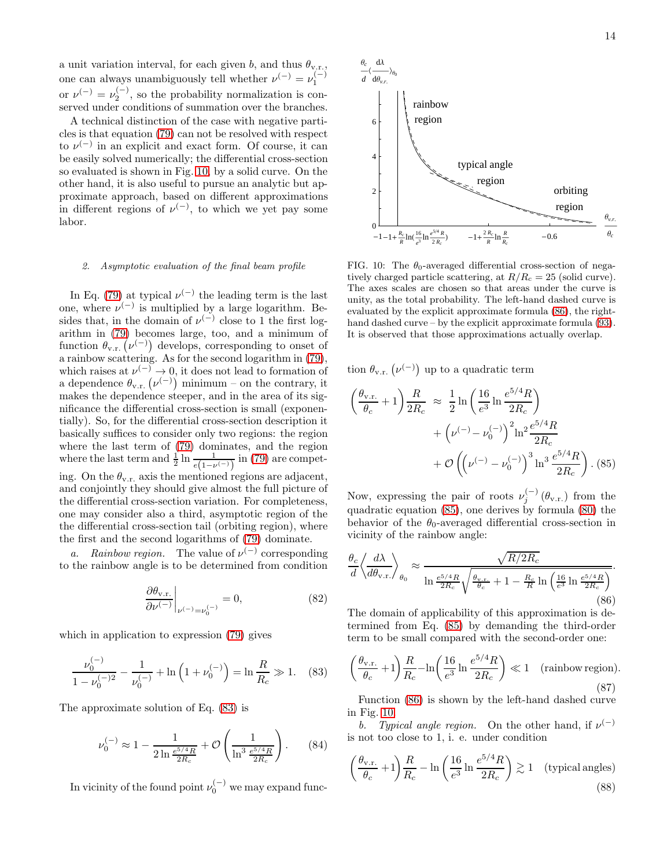a unit variation interval, for each given b, and thus  $\theta_{v.r.}$ , one can always unambiguously tell whether  $\nu^{(-)} = \nu_1^{(-)}$ or  $\nu^{(-)} = \nu_2^{(-)}$ , so the probability normalization is conserved under conditions of summation over the branches.

A technical distinction of the case with negative particles is that equation [\(79\)](#page-12-3) can not be resolved with respect to  $\nu^{(-)}$  in an explicit and exact form. Of course, it can be easily solved numerically; the differential cross-section so evaluated is shown in Fig. [10,](#page-13-0) by a solid curve. On the other hand, it is also useful to pursue an analytic but approximate approach, based on different approximations in different regions of  $\nu^{(-)}$ , to which we yet pay some labor.

# 2. Asymptotic evaluation of the final beam profile

In Eq. [\(79\)](#page-12-3) at typical  $\nu^{(-)}$  the leading term is the last one, where  $\nu^{(-)}$  is multiplied by a large logarithm. Besides that, in the domain of  $\nu^{(-)}$  close to 1 the first logarithm in [\(79\)](#page-12-3) becomes large, too, and a minimum of function  $\theta_{v,r}$  ( $\nu^{(-)}$ ) develops, corresponding to onset of a rainbow scattering. As for the second logarithm in [\(79\)](#page-12-3), which raises at  $\nu^{(-)} \to 0$ , it does not lead to formation of a dependence  $\theta_{v.r.}(\nu^{(-)})$  minimum – on the contrary, it makes the dependence steeper, and in the area of its significance the differential cross-section is small (exponentially). So, for the differential cross-section description it basically suffices to consider only two regions: the region where the last term of [\(79\)](#page-12-3) dominates, and the region where the last term and  $\frac{1}{2} \ln \frac{1}{e(1 - \nu^{(-)})}$  in [\(79\)](#page-12-3) are competing. On the  $\theta_{v,r}$  axis the mentioned regions are adjacent, and conjointly they should give almost the full picture of the differential cross-section variation. For completeness, one may consider also a third, asymptotic region of the the differential cross-section tail (orbiting region), where the first and the second logarithms of [\(79\)](#page-12-3) dominate.

*a.* Rainbow region. The value of  $\nu^{(-)}$  corresponding to the rainbow angle is to be determined from condition

$$
\left. \frac{\partial \theta_{v.r.}}{\partial \nu^{(-)}} \right|_{\nu^{(-)} = \nu_0^{(-)}} = 0,\tag{82}
$$

which in application to expression [\(79\)](#page-12-3) gives

<span id="page-13-1"></span>
$$
\frac{\nu_0^{(-)}}{1 - \nu_0^{(-)2}} - \frac{1}{\nu_0^{(-)}} + \ln\left(1 + \nu_0^{(-)}\right) = \ln\frac{R}{R_c} \gg 1. \tag{83}
$$

The approximate solution of Eq. [\(83\)](#page-13-1) is

$$
\nu_0^{(-)} \approx 1 - \frac{1}{2 \ln \frac{e^{5/4} R}{2 R_c}} + \mathcal{O}\left(\frac{1}{\ln^3 \frac{e^{5/4} R}{2 R_c}}\right). \tag{84}
$$

In vicinity of the found point  $\nu_0^{(-)}$  we may expand func-



<span id="page-13-0"></span>FIG. 10: The  $\theta_0$ -averaged differential cross-section of negatively charged particle scattering, at  $R/R_c = 25$  (solid curve). The axes scales are chosen so that areas under the curve is unity, as the total probability. The left-hand dashed curve is evaluated by the explicit approximate formula [\(86\)](#page-13-2), the righthand dashed curve – by the explicit approximate formula  $(93)$ . It is observed that those approximations actually overlap.

tion  $\theta_{v.r.}(\nu^{(-)})$  up to a quadratic term

<span id="page-13-3"></span>
$$
\left(\frac{\theta_{v.r.}}{\theta_c} + 1\right) \frac{R}{2R_c} \approx \frac{1}{2} \ln\left(\frac{16}{e^3} \ln\frac{e^{5/4}R}{2R_c}\right) \n+ \left(\nu^{(-)} - \nu_0^{(-)}\right)^2 \ln^2 \frac{e^{5/4}R}{2R_c} \n+ \mathcal{O}\left(\left(\nu^{(-)} - \nu_0^{(-)}\right)^3 \ln^3 \frac{e^{5/4}R}{2R_c}\right). (85)
$$

Now, expressing the pair of roots  $\nu_j^{(-)}(\theta_{v.r.})$  from the quadratic equation [\(85\)](#page-13-3), one derives by formula [\(80\)](#page-12-5) the behavior of the  $\theta_0$ -averaged differential cross-section in vicinity of the rainbow angle:

<span id="page-13-2"></span>
$$
\frac{\theta_c}{d} \left\langle \frac{d\lambda}{d\theta_{\text{v.r.}}} \right\rangle_{\theta_0} \approx \frac{\sqrt{R/2R_c}}{\ln \frac{e^{5/4}R}{2R_c} \sqrt{\frac{\theta_{\text{v.r.}}} {\theta_c} + 1 - \frac{R_c}{R} \ln \left(\frac{16}{e^3} \ln \frac{e^{5/4}R}{2R_c}\right)}}.
$$
\n(86)

The domain of applicability of this approximation is determined from Eq. [\(85\)](#page-13-3) by demanding the third-order term to be small compared with the second-order one:

<span id="page-13-4"></span>
$$
\left(\frac{\theta_{v.r.}}{\theta_c} + 1\right) \frac{R}{R_c} - \ln\left(\frac{16}{e^3} \ln \frac{e^{5/4} R}{2R_c}\right) \ll 1 \quad \text{(rainbow region)}.
$$
\n
$$
(87)
$$

Function [\(86\)](#page-13-2) is shown by the left-hand dashed curve in Fig. [10.](#page-13-0)

b. Typical angle region. On the other hand, if  $\nu^{(-)}$ is not too close to 1, i. e. under condition

<span id="page-13-5"></span>
$$
\left(\frac{\theta_{\rm v.r.}}{\theta_c} + 1\right) \frac{R}{R_c} - \ln\left(\frac{16}{e^3} \ln \frac{e^{5/4} R}{2R_c}\right) \gtrsim 1 \quad \text{(typical angles)}
$$
\n
$$
\tag{88}
$$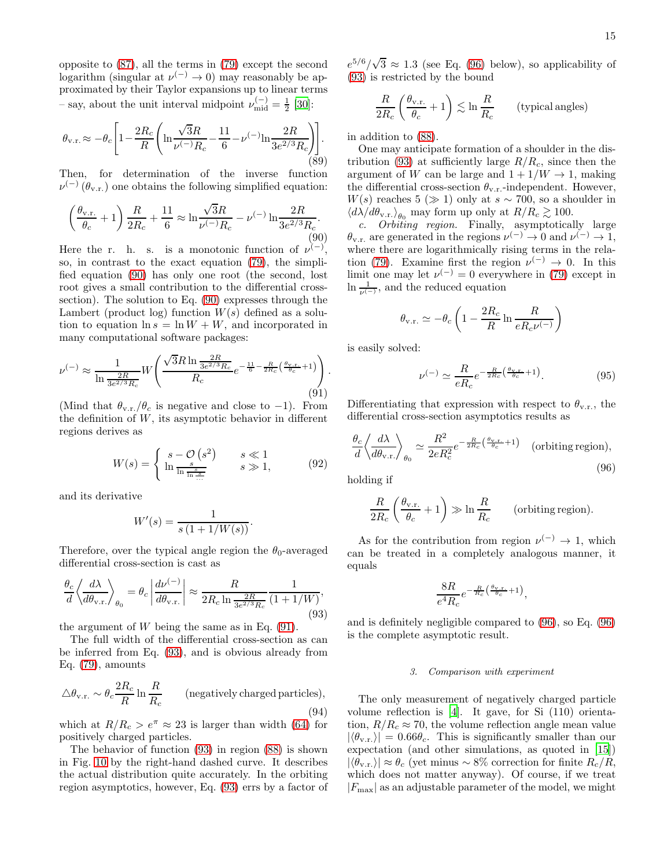opposite to [\(87\)](#page-13-4), all the terms in [\(79\)](#page-12-3) except the second logarithm (singular at  $\nu^{(-)} \to 0$ ) may reasonably be approximated by their Taylor expansions up to linear terms - say, about the unit interval midpoint  $\nu_{mid}^{(-)} = \frac{1}{2}$  [\[30](#page-19-23)]:

<span id="page-14-0"></span>
$$
\theta_{\rm v.r.} \approx -\theta_c \Bigg[ 1 - \frac{2R_c}{R} \Bigg( \ln \frac{\sqrt{3}R}{\nu^{(-)}R_c} - \frac{11}{6} - \nu^{(-)} \ln \frac{2R}{3e^{2/3}R_c} \Bigg) \Bigg]. \tag{89}
$$

Then, for determination of the inverse function  $\nu^{(-)}(\theta_{v.r.})$  one obtains the following simplified equation:

<span id="page-14-2"></span>
$$
\left(\frac{\theta_{v.r.}}{\theta_c} + 1\right) \frac{R}{2R_c} + \frac{11}{6} \approx \ln \frac{\sqrt{3}R}{\nu^{(-)}R_c} - \nu^{(-)} \ln \frac{2R}{3e^{2/3}R_c}.
$$
\n(90)

Here the r. h. s. is a monotonic function of  $\nu^{(-)}$ , so, in contrast to the exact equation [\(79\)](#page-12-3), the simplified equation [\(90\)](#page-14-2) has only one root (the second, lost root gives a small contribution to the differential crosssection). The solution to Eq. [\(90\)](#page-14-2) expresses through the Lambert (product log) function  $W(s)$  defined as a solution to equation  $\ln s = \ln W + W$ , and incorporated in many computational software packages:

<span id="page-14-3"></span>
$$
\nu^{(-)} \approx \frac{1}{\ln \frac{2R}{3e^{2/3}R_c}} W\left(\frac{\sqrt{3}R \ln \frac{2R}{3e^{2/3}R_c}}{R_c} e^{-\frac{11}{6} - \frac{R}{2R_c} \left(\frac{\theta_{V,\Gamma_c}}{\theta_c} + 1\right)}\right).
$$
\n(91)

(Mind that  $\theta_{v,r.}/\theta_c$  is negative and close to -1). From the definition of  $W$ , its asymptotic behavior in different regions derives as

$$
W(s) = \begin{cases} s - \mathcal{O}(s^2) & s \ll 1\\ \ln \frac{s}{\ln \frac{s}{\ln \frac{s}{\ldots}}}, & s \gg 1, \end{cases} \tag{92}
$$

and its derivative

$$
W'(s) = \frac{1}{s(1 + 1/W(s))}.
$$

Therefore, over the typical angle region the  $\theta_0$ -averaged differential cross-section is cast as

<span id="page-14-1"></span>
$$
\frac{\theta_c}{d} \left\langle \frac{d\lambda}{d\theta_{\text{v.r.}}} \right\rangle_{\theta_0} = \theta_c \left| \frac{d\nu^{(-)}}{d\theta_{\text{v.r.}}} \right| \approx \frac{R}{2R_c \ln \frac{2R}{3e^{2/3}R_c}} \frac{1}{(1 + 1/W)},\tag{93}
$$

the argument of  $W$  being the same as in Eq. [\(91\)](#page-14-3).

The full width of the differential cross-section as can be inferred from Eq. [\(93\)](#page-14-1), and is obvious already from Eq. [\(79\)](#page-12-3), amounts

<span id="page-14-5"></span>
$$
\triangle \theta_{\rm v.r.} \sim \theta_c \frac{2R_c}{R} \ln \frac{R}{R_c}
$$
 (negatively charged particles), (94)

which at  $R/R_c > e^{\pi} \approx 23$  is larger than width [\(64\)](#page-9-4) for positively charged particles.

The behavior of function [\(93\)](#page-14-1) in region [\(88\)](#page-13-5) is shown in Fig. [10](#page-13-0) by the right-hand dashed curve. It describes the actual distribution quite accurately. In the orbiting region asymptotics, however, Eq. [\(93\)](#page-14-1) errs by a factor of

 $e^{5/6}/\sqrt{3} \approx 1.3$  (see Eq. [\(96\)](#page-14-4) below), so applicability of [\(93\)](#page-14-1) is restricted by the bound

$$
\frac{R}{2R_c} \left( \frac{\theta_{\rm v.r.}}{\theta_c} + 1 \right) \lesssim \ln \frac{R}{R_c} \qquad \text{(typical angles)}
$$

in addition to [\(88\)](#page-13-5).

One may anticipate formation of a shoulder in the dis-tribution [\(93\)](#page-14-1) at sufficiently large  $R/R<sub>c</sub>$ , since then the argument of W can be large and  $1 + 1/W \rightarrow 1$ , making the differential cross-section  $\theta_{v.r.}$ -independent. However,  $W(s)$  reaches 5 ( $\gg$  1) only at  $s \sim 700$ , so a shoulder in  $\langle d\lambda/d\theta_{\rm v.r.}\rangle_{\theta_0}$  may form up only at  $R/R_c \gtrsim 100$ .

c. Orbiting region. Finally, asymptotically large  $\theta_{v.r.}$  are generated in the regions  $\nu^{(-)} \to 0$  and  $\nu^{(-)} \to 1$ , where there are logarithmically rising terms in the rela-tion [\(79\)](#page-12-3). Examine first the region  $\nu^{(-)} \to 0$ . In this limit one may let  $\nu^{(-)} = 0$  everywhere in [\(79\)](#page-12-3) except in  $\ln \frac{1}{\nu^{(-)}}$ , and the reduced equation

$$
\theta_{\rm v.r.} \simeq -\theta_c \left(1 - \frac{2R_c}{R}\ln \frac{R}{eR_c\nu^{(-)}}\right)
$$

is easily solved:

$$
\nu^{(-)} \simeq \frac{R}{eR_c} e^{-\frac{R}{2R_c} \left(\frac{\theta_{\rm V, T}}{\theta_c} + 1\right)}.
$$
\n(95)

Differentiating that expression with respect to  $\theta_{v.r.}$ , the differential cross-section asymptotics results as

<span id="page-14-4"></span>
$$
\frac{\theta_c}{d} \left\langle \frac{d\lambda}{d\theta_{\text{v.r.}}} \right\rangle_{\theta_0} \simeq \frac{R^2}{2eR_c^2} e^{-\frac{R}{2R_c} \left(\frac{\theta_{\text{v.r.}}}{\theta_c} + 1\right)} \quad \text{(orbiting region)},\tag{96}
$$

holding if

$$
\frac{R}{2R_c} \left( \frac{\theta_{v.r.}}{\theta_c} + 1 \right) \gg \ln \frac{R}{R_c} \qquad \text{(orbiting region)}.
$$

As for the contribution from region  $\nu^{(-)} \to 1$ , which can be treated in a completely analogous manner, it equals

$$
\frac{8R}{e^4R_c}e^{-\frac{R}{R_c}\left(\frac{\theta_{\rm V.F.}}{\theta_c}+1\right)},
$$

and is definitely negligible compared to [\(96\)](#page-14-4), so Eq. [\(96\)](#page-14-4) is the complete asymptotic result.

#### 3. Comparison with experiment

The only measurement of negatively charged particle volume reflection is [\[4\]](#page-19-3). It gave, for Si (110) orientation,  $R/R_c \approx 70$ , the volume reflection angle mean value  $|\langle \theta_{v,r} \rangle| = 0.66 \theta_c$ . This is significantly smaller than our expectation (and other simulations, as quoted in [\[15\]](#page-19-24))  $|\langle \theta_{v,r} \rangle| \approx \theta_c$  (yet minus ~ 8% correction for finite  $R_c/R$ , which does not matter anyway). Of course, if we treat  $|F_{\text{max}}|$  as an adjustable parameter of the model, we might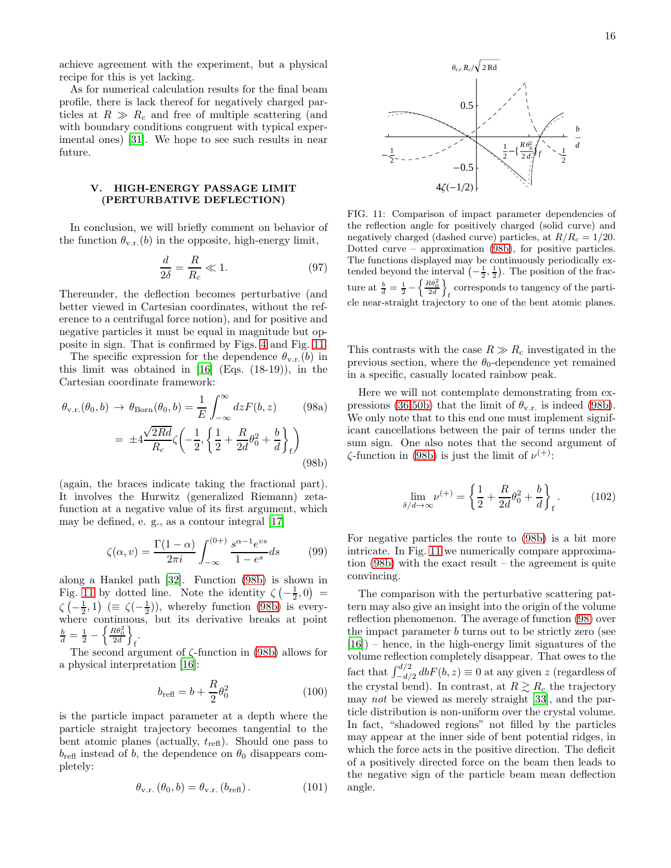achieve agreement with the experiment, but a physical recipe for this is yet lacking.

As for numerical calculation results for the final beam profile, there is lack thereof for negatively charged particles at  $R \gg R_c$  and free of multiple scattering (and with boundary conditions congruent with typical experimental ones) [\[31\]](#page-19-25). We hope to see such results in near future.

# <span id="page-15-0"></span>V. HIGH-ENERGY PASSAGE LIMIT (PERTURBATIVE DEFLECTION)

In conclusion, we will briefly comment on behavior of the function  $\theta_{v,r}(b)$  in the opposite, high-energy limit,

$$
\frac{d}{2\delta} = \frac{R}{R_c} \ll 1.
$$
\n(97)

Thereunder, the deflection becomes perturbative (and better viewed in Cartesian coordinates, without the reference to a centrifugal force notion), and for positive and negative particles it must be equal in magnitude but opposite in sign. That is confirmed by Figs. [4](#page-7-1) and Fig. [11.](#page-15-1)

The specific expression for the dependence  $\theta_{v,r}(b)$  in this limit was obtained in [\[16\]](#page-19-26) (Eqs. (18-19)), in the Cartesian coordinate framework:

<span id="page-15-2"></span>
$$
\theta_{v.r.}(\theta_0, b) \rightarrow \theta_{Born}(\theta_0, b) = \frac{1}{E} \int_{-\infty}^{\infty} dz F(b, z) \qquad (98a)
$$

$$
= \pm 4 \frac{\sqrt{2Rd}}{R_c} \zeta \left( -\frac{1}{2}, \left\{ \frac{1}{2} + \frac{R}{2d} \theta_0^2 + \frac{b}{d} \right\}_f \right) \qquad (98b)
$$

(again, the braces indicate taking the fractional part). It involves the Hurwitz (generalized Riemann) zetafunction at a negative value of its first argument, which may be defined, e. g., as a contour integral [\[17\]](#page-19-20)

<span id="page-15-4"></span>
$$
\zeta(\alpha, v) = \frac{\Gamma(1-\alpha)}{2\pi i} \int_{-\infty}^{(0+)} \frac{s^{\alpha-1} e^{vs}}{1-e^s} ds \tag{99}
$$

along a Hankel path [\[32\]](#page-19-27). Function [\(98b\)](#page-15-2) is shown in Fig. [11](#page-15-1) by dotted line. Note the identity  $\zeta\left(-\frac{1}{2},0\right)$  =  $\zeta\left(-\frac{1}{2},1\right)$  ( $\equiv \zeta\left(-\frac{1}{2}\right)$ ), whereby function [\(98b\)](#page-15-2) is everywhere continuous, but its derivative breaks at point  $\frac{b}{d}=\frac{1}{2}-\left\{\frac{R\theta_{0}^{2}}{2d}\right\}$ f .

The second argument of  $\zeta$ -function in [\(98b\)](#page-15-2) allows for a physical interpretation [\[16\]](#page-19-26):

$$
b_{\text{refl}} = b + \frac{R}{2}\theta_0^2 \tag{100}
$$

is the particle impact parameter at a depth where the particle straight trajectory becomes tangential to the bent atomic planes (actually,  $t_{\text{refl}}$ ). Should one pass to  $b_{\text{refl}}$  instead of b, the dependence on  $\theta_0$  disappears completely:

$$
\theta_{\text{v.r.}}\left(\theta_{0},b\right) = \theta_{\text{v.r.}}\left(b_{\text{refl}}\right). \tag{101}
$$



<span id="page-15-1"></span>FIG. 11: Comparison of impact parameter dependencies of the reflection angle for positively charged (solid curve) and negatively charged (dashed curve) particles, at  $R/R_c = 1/20$ . Dotted curve – approximation [\(98b\)](#page-15-2), for positive particles. The functions displayed may be continuously periodically extended beyond the interval  $\left(-\frac{1}{2},\frac{1}{2}\right)$ . The position of the fracture at  $\frac{b}{d} = \frac{1}{2} - \left\{ \frac{R\theta_0^2}{2d} \right\}$ f corresponds to tangency of the particle near-straight trajectory to one of the bent atomic planes.

This contrasts with the case  $R \gg R_c$  investigated in the previous section, where the  $\theta_0$ -dependence yet remained in a specific, casually located rainbow peak.

<span id="page-15-3"></span>Here we will not contemplate demonstrating from ex-pressions [\(36](#page-4-6)[,50b\)](#page-6-2) that the limit of  $\theta_{v.r.}$  is indeed [\(98b\)](#page-15-2). We only note that to this end one must implement significant cancellations between the pair of terms under the sum sign. One also notes that the second argument of  $\zeta$ -function in [\(98b\)](#page-15-2) is just the limit of  $\nu^{(+)}$ :

$$
\lim_{\delta/d \to \infty} \nu^{(+)} = \left\{ \frac{1}{2} + \frac{R}{2d} \theta_0^2 + \frac{b}{d} \right\}_f. \tag{102}
$$

For negative particles the route to [\(98b\)](#page-15-2) is a bit more intricate. In Fig. [11](#page-15-1) we numerically compare approximation [\(98b\)](#page-15-2) with the exact result – the agreement is quite convincing.

The comparison with the perturbative scattering pattern may also give an insight into the origin of the volume reflection phenomenon. The average of function [\(98\)](#page-15-3) over the impact parameter  $b$  turns out to be strictly zero (see [\[16\]](#page-19-26)) – hence, in the high-energy limit signatures of the volume reflection completely disappear. That owes to the fact that  $\int_{-d/2}^{d/2} db F(b, z) \equiv 0$  at any given z (regardless of the crystal bend). In contrast, at  $R \gtrsim R_c$  the trajectory may not be viewed as merely straight [\[33\]](#page-20-0), and the particle distribution is non-uniform over the crystal volume. In fact, "shadowed regions" not filled by the particles may appear at the inner side of bent potential ridges, in which the force acts in the positive direction. The deficit of a positively directed force on the beam then leads to the negative sign of the particle beam mean deflection angle.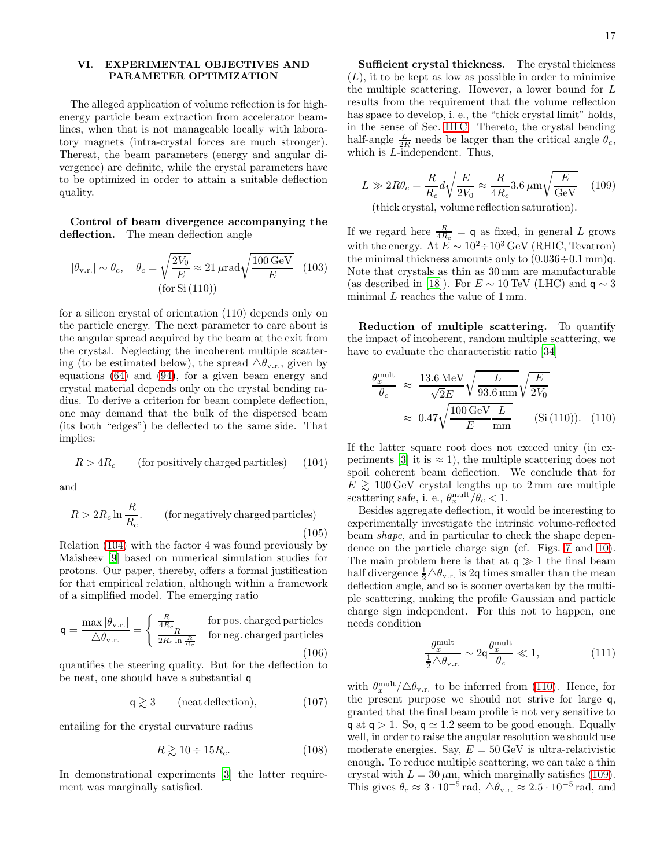17

# <span id="page-16-0"></span>VI. EXPERIMENTAL OBJECTIVES AND PARAMETER OPTIMIZATION

The alleged application of volume reflection is for highenergy particle beam extraction from accelerator beamlines, when that is not manageable locally with laboratory magnets (intra-crystal forces are much stronger). Thereat, the beam parameters (energy and angular divergence) are definite, while the crystal parameters have to be optimized in order to attain a suitable deflection quality.

Control of beam divergence accompanying the deflection. The mean deflection angle

$$
|\theta_{v.r.}| \sim \theta_c
$$
,  $\theta_c = \sqrt{\frac{2V_0}{E}} \approx 21 \,\mu\text{rad}\sqrt{\frac{100 \,\text{GeV}}{E}}$  (103)  
(for Si (110))

for a silicon crystal of orientation (110) depends only on the particle energy. The next parameter to care about is the angular spread acquired by the beam at the exit from the crystal. Neglecting the incoherent multiple scattering (to be estimated below), the spread  $\Delta\theta_{v.r.}$ , given by equations [\(64\)](#page-9-4) and [\(94\)](#page-14-5), for a given beam energy and crystal material depends only on the crystal bending radius. To derive a criterion for beam complete deflection, one may demand that the bulk of the dispersed beam (its both "edges") be deflected to the same side. That implies:

<span id="page-16-1"></span>
$$
R > 4R_c
$$
 (for positively charged particles) (104)

and

$$
R > 2R_c \ln \frac{R}{R_c}.
$$
 (for negatively charged particles) (105)

Relation [\(104\)](#page-16-1) with the factor 4 was found previously by Maisheev [\[9\]](#page-19-7) based on numerical simulation studies for protons. Our paper, thereby, offers a formal justification for that empirical relation, although within a framework of a simplified model. The emerging ratio

$$
\mathsf{q} = \frac{\max |\theta_{\rm v.r.}|}{\triangle \theta_{\rm v.r.}} = \begin{cases} \frac{R}{4R_c} & \text{for pos. charged particles} \\ \frac{R}{2R_c \ln \frac{R}{R_c}} & \text{for neg. charged particles} \end{cases}
$$
(106)

quantifies the steering quality. But for the deflection to be neat, one should have a substantial q

$$
\mathsf{q} \gtrsim 3 \qquad \text{(neat deflection)}, \tag{107}
$$

entailing for the crystal curvature radius

$$
R \gtrsim 10 \div 15R_c. \tag{108}
$$

In demonstrational experiments [\[3](#page-19-2)] the latter requirement was marginally satisfied.

Sufficient crystal thickness. The crystal thickness  $(L)$ , it to be kept as low as possible in order to minimize the multiple scattering. However, a lower bound for L results from the requirement that the volume reflection has space to develop, i. e., the "thick crystal limit" holds, in the sense of Sec. [III C.](#page-6-4) Thereto, the crystal bending half-angle  $\frac{L}{2R}$  needs be larger than the critical angle  $\theta_c$ , which is *L*-independent. Thus,

<span id="page-16-3"></span>
$$
L \gg 2R\theta_c = \frac{R}{R_c} d\sqrt{\frac{E}{2V_0}} \approx \frac{R}{4R_c} 3.6 \,\mu\text{m}\sqrt{\frac{E}{\text{GeV}}} \tag{109}
$$

(thick crystal, volume reflection saturation).

If we regard here  $\frac{R}{4R_c} = \mathsf{q}$  as fixed, in general L grows with the energy. At  $E \sim 10^2 \div 10^3$  GeV (RHIC, Tevatron) the minimal thickness amounts only to  $(0.036 \div 0.1 \text{ mm})q$ . Note that crystals as thin as 30 mm are manufacturable (as described in [\[18\]](#page-19-28)). For  $E \sim 10 \,\text{TeV}$  (LHC) and  $q \sim 3$ minimal L reaches the value of 1 mm.

Reduction of multiple scattering. To quantify the impact of incoherent, random multiple scattering, we have to evaluate the characteristic ratio [\[34](#page-20-1)]

<span id="page-16-2"></span>
$$
\frac{\theta_x^{\text{mult}}}{\theta_c} \approx \frac{13.6 \,\text{MeV}}{\sqrt{2}E} \sqrt{\frac{L}{93.6 \,\text{mm}}} \sqrt{\frac{E}{2V_0}}
$$
\n
$$
\approx 0.47 \sqrt{\frac{100 \,\text{GeV}}{E} \frac{L}{\text{mm}}} \qquad (\text{Si (110)}). \quad (110)
$$

If the latter square root does not exceed unity (in ex-periments [\[3\]](#page-19-2) it is  $\approx$  1), the multiple scattering does not spoil coherent beam deflection. We conclude that for  $E \geq 100 \,\text{GeV}$  crystal lengths up to 2 mm are multiple scattering safe, i. e.,  $\theta_x^{\text{mult}}/\theta_c < 1$ .

Besides aggregate deflection, it would be interesting to experimentally investigate the intrinsic volume-reflected beam shape, and in particular to check the shape dependence on the particle charge sign (cf. Figs. [7](#page-10-6) and [10\)](#page-13-0). The main problem here is that at  $q \gg 1$  the final beam half divergence  $\frac{1}{2}\triangle\theta_{v.r.}$  is 2q times smaller than the mean deflection angle, and so is sooner overtaken by the multiple scattering, making the profile Gaussian and particle charge sign independent. For this not to happen, one needs condition

$$
\frac{\theta_x^{\text{mult}}}{\frac{1}{2}\Delta\theta_{\text{v.r.}}}\sim 2\mathsf{q}\frac{\theta_x^{\text{mult}}}{\theta_c}\ll 1,\tag{111}
$$

with  $\theta_x^{\text{mult}}/\Delta\theta_{\text{v.r.}}$  to be inferred from [\(110\)](#page-16-2). Hence, for the present purpose we should not strive for large q, granted that the final beam profile is not very sensitive to q at  $q > 1$ . So,  $q \approx 1.2$  seem to be good enough. Equally well, in order to raise the angular resolution we should use moderate energies. Say,  $E = 50 \,\text{GeV}$  is ultra-relativistic enough. To reduce multiple scattering, we can take a thin crystal with  $L = 30 \,\mu \text{m}$ , which marginally satisfies [\(109\)](#page-16-3). This gives  $\theta_c \approx 3 \cdot 10^{-5}$  rad,  $\Delta \theta_{v.r.} \approx 2.5 \cdot 10^{-5}$  rad, and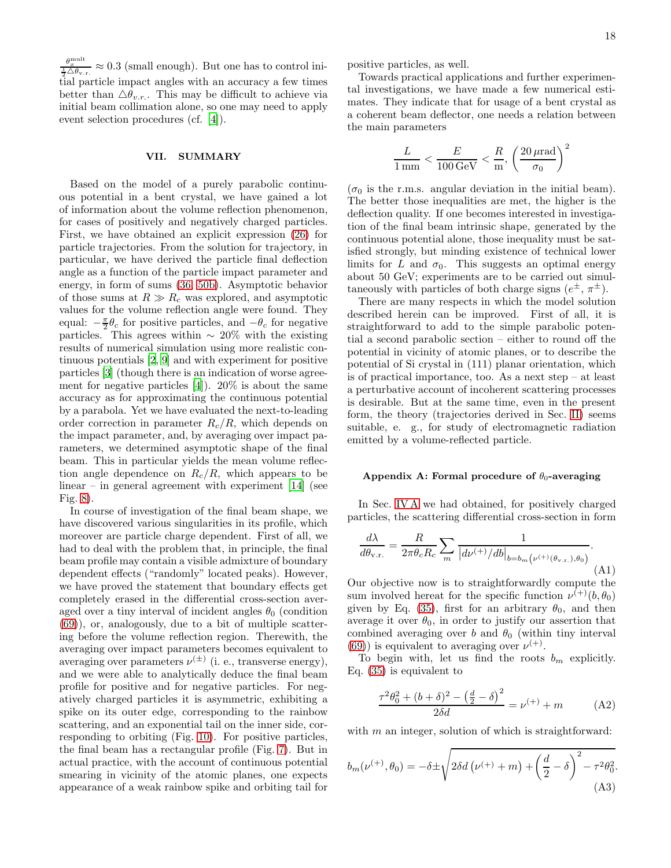$\frac{\theta_x^{\text{mult}}}{\frac{1}{2}\Delta\theta_{\text{v.r.}}} \approx 0.3$  (small enough). But one has to control initial particle impact angles with an accuracy a few times better than  $\Delta \theta_{v.r.}$ . This may be difficult to achieve via initial beam collimation alone, so one may need to apply event selection procedures (cf. [\[4](#page-19-3)]).

## <span id="page-17-0"></span>VII. SUMMARY

Based on the model of a purely parabolic continuous potential in a bent crystal, we have gained a lot of information about the volume reflection phenomenon, for cases of positively and negatively charged particles. First, we have obtained an explicit expression [\(26\)](#page-3-6) for particle trajectories. From the solution for trajectory, in particular, we have derived the particle final deflection angle as a function of the particle impact parameter and energy, in form of sums [\(36,](#page-4-6) [50b\)](#page-6-2). Asymptotic behavior of those sums at  $R \gg R_c$  was explored, and asymptotic values for the volume reflection angle were found. They equal:  $-\frac{\pi}{2}\theta_c$  for positive particles, and  $-\theta_c$  for negative particles. This agrees within  $\sim 20\%$  with the existing results of numerical simulation using more realistic continuous potentials [\[2](#page-19-1), [9\]](#page-19-7) and with experiment for positive particles [\[3\]](#page-19-2) (though there is an indication of worse agreement for negative particles  $[4]$ . 20% is about the same accuracy as for approximating the continuous potential by a parabola. Yet we have evaluated the next-to-leading order correction in parameter  $R_c/R$ , which depends on the impact parameter, and, by averaging over impact parameters, we determined asymptotic shape of the final beam. This in particular yields the mean volume reflection angle dependence on  $R_c/R$ , which appears to be linear – in general agreement with experiment  $[14]$  (see Fig. [8\)](#page-11-1).

In course of investigation of the final beam shape, we have discovered various singularities in its profile, which moreover are particle charge dependent. First of all, we had to deal with the problem that, in principle, the final beam profile may contain a visible admixture of boundary dependent effects ("randomly" located peaks). However, we have proved the statement that boundary effects get completely erased in the differential cross-section averaged over a tiny interval of incident angles  $\theta_0$  (condition [\(69\)](#page-10-5)), or, analogously, due to a bit of multiple scattering before the volume reflection region. Therewith, the averaging over impact parameters becomes equivalent to averaging over parameters  $\nu^{(\pm)}$  (i. e., transverse energy), and we were able to analytically deduce the final beam profile for positive and for negative particles. For negatively charged particles it is asymmetric, exhibiting a spike on its outer edge, corresponding to the rainbow scattering, and an exponential tail on the inner side, corresponding to orbiting (Fig. [10\)](#page-13-0). For positive particles, the final beam has a rectangular profile (Fig. [7\)](#page-10-6). But in actual practice, with the account of continuous potential smearing in vicinity of the atomic planes, one expects appearance of a weak rainbow spike and orbiting tail for

positive particles, as well.

Towards practical applications and further experimental investigations, we have made a few numerical estimates. They indicate that for usage of a bent crystal as a coherent beam deflector, one needs a relation between the main parameters

$$
\frac{L}{1\,\mathrm{mm}}<\frac{E}{100\,\mathrm{GeV}}<\frac{R}{\mathrm{m}},\,\left(\frac{20\,\mu\mathrm{rad}}{\sigma_0}\right)^2
$$

 $(\sigma_0$  is the r.m.s. angular deviation in the initial beam). The better those inequalities are met, the higher is the deflection quality. If one becomes interested in investigation of the final beam intrinsic shape, generated by the continuous potential alone, those inequality must be satisfied strongly, but minding existence of technical lower limits for L and  $\sigma_0$ . This suggests an optimal energy about 50 GeV; experiments are to be carried out simultaneously with particles of both charge signs  $(e^{\pm}, \pi^{\pm})$ .

There are many respects in which the model solution described herein can be improved. First of all, it is straightforward to add to the simple parabolic potential a second parabolic section – either to round off the potential in vicinity of atomic planes, or to describe the potential of Si crystal in (111) planar orientation, which is of practical importance, too. As a next step – at least a perturbative account of incoherent scattering processes is desirable. But at the same time, even in the present form, the theory (trajectories derived in Sec. [II\)](#page-1-0) seems suitable, e. g., for study of electromagnetic radiation emitted by a volume-reflected particle.

#### Appendix A: Formal procedure of  $\theta_0$ -averaging

In Sec. [IV A](#page-8-3) we had obtained, for positively charged particles, the scattering differential cross-section in form

<span id="page-17-3"></span>
$$
\frac{d\lambda}{d\theta_{\text{v.r.}}} = \frac{R}{2\pi\theta_c R_c} \sum_m \frac{1}{|d\nu^{(+)}/db|_{b=b_m} (\nu^{(+)}(\theta_{\text{v.r.}}), \theta_0)}.
$$
\n(A1)

Our objective now is to straightforwardly compute the sum involved hereat for the specific function  $\nu^{(+)}(b, \theta_0)$ given by Eq. [\(35\)](#page-4-7), first for an arbitrary  $\theta_0$ , and then average it over  $\theta_0$ , in order to justify our assertion that combined averaging over b and  $\theta_0$  (within tiny interval [\(69\)](#page-10-5)) is equivalent to averaging over  $\nu^{(+)}$ .

To begin with, let us find the roots  $b_m$  explicitly. Eq. [\(35\)](#page-4-7) is equivalent to

<span id="page-17-2"></span>
$$
\frac{\tau^2 \theta_0^2 + (b + \delta)^2 - \left(\frac{d}{2} - \delta\right)^2}{2\delta d} = \nu^{(+)} + m \tag{A2}
$$

with  $m$  an integer, solution of which is straightforward:

<span id="page-17-1"></span>
$$
b_m(\nu^{(+)}, \theta_0) = -\delta \pm \sqrt{2\delta d (\nu^{(+)} + m) + \left(\frac{d}{2} - \delta\right)^2 - \tau^2 \theta_0^2}.
$$
\n(A3)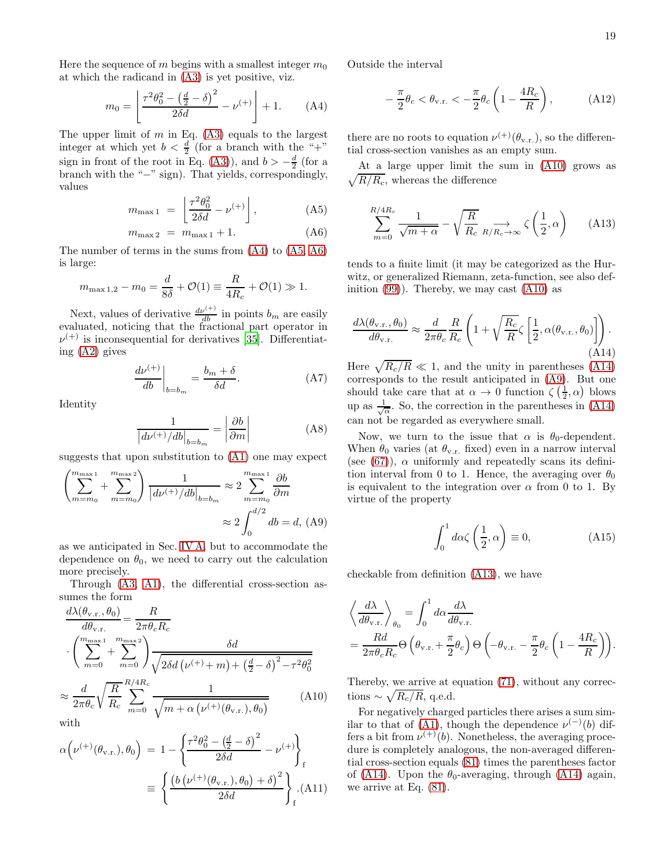Here the sequence of m begins with a smallest integer  $m_0$ at which the radicand in [\(A3\)](#page-17-1) is yet positive, viz.

<span id="page-18-0"></span>
$$
m_0 = \left[ \frac{\tau^2 \theta_0^2 - \left(\frac{d}{2} - \delta\right)^2}{2\delta d} - \nu^{(+)} \right] + 1. \tag{A4}
$$

The upper limit of  $m$  in Eq. [\(A3\)](#page-17-1) equals to the largest integer at which yet  $b < \frac{d}{2}$  (for a branch with the "+" sign in front of the root in Eq. [\(A3\)](#page-17-1)), and  $b > -\frac{d}{2}$  (for a branch with the "−" sign). That yields, correspondingly, values

<span id="page-18-1"></span>
$$
m_{\text{max 1}} = \left[ \frac{\tau^2 \theta_0^2}{2\delta d} - \nu^{(+)} \right], \tag{A5}
$$

$$
m_{\max 2} = m_{\max 1} + 1. \tag{A6}
$$

The number of terms in the sums from [\(A4\)](#page-18-0) to [\(A5, A6\)](#page-18-1) is large:

$$
m_{\text{max }1,2} - m_0 = \frac{d}{8\delta} + \mathcal{O}(1) \equiv \frac{R}{4R_c} + \mathcal{O}(1) \gg 1.
$$

Next, values of derivative  $\frac{d\nu^{(+)}}{db}$  in points  $b_m$  are easily evaluated, noticing that the fractional part operator in  $\nu^{(+)}$  is inconsequential for derivatives [\[35\]](#page-20-2). Differentiating [\(A2\)](#page-17-2) gives

$$
\left. \frac{d\nu^{(+)}}{db} \right|_{b=b_m} = \frac{b_m + \delta}{\delta d}.\tag{A7}
$$

Identity

$$
\frac{1}{\left| \frac{d\nu^{(+)} / db \right|_{b=b_m}} = \left| \frac{\partial b}{\partial m} \right|} \tag{A8}
$$

suggests that upon substitution to [\(A1\)](#page-17-3) one may expect

<span id="page-18-4"></span>
$$
\left(\sum_{m=m_0}^{m_{\text{max}}1} + \sum_{m=m_0}^{m_{\text{max}}2}\right) \frac{1}{|d\nu^{(+)}/db|_{b=b_m}} \approx 2 \sum_{m=m_0}^{m_{\text{max}}1} \frac{\partial b}{\partial m}
$$
  
  $\approx 2 \int_0^{d/2} db = d$ , (A9)

as we anticipated in Sec. [IV A,](#page-8-3) but to accommodate the dependence on  $\theta_0$ , we need to carry out the calculation more precisely.

Through [\(A3,](#page-17-1) [A1\)](#page-17-3), the differential cross-section assumes the form

<span id="page-18-2"></span>
$$
\frac{d\lambda(\theta_{\text{v.r.}}, \theta_0)}{d\theta_{\text{v.r.}}} = \frac{R}{2\pi\theta_c R_c}
$$
\n
$$
\left(\sum_{m=0}^{m_{\text{max }1}} + \sum_{m=0}^{m_{\text{max }2}}\right) \frac{\delta d}{\sqrt{2\delta d \left(\nu^{(+)} + m\right) + \left(\frac{d}{2} - \delta\right)^2 - \tau^2 \theta_0^2}}
$$
\n
$$
\approx \frac{d}{\theta_c \theta_c} \sqrt{\frac{R}{R}} \sum_{m=0}^{R/4R_c} \frac{1}{\sqrt{2\theta_c^2 \left(\nu^{(+)} + m\right) + \left(\frac{d}{2} - \delta\right)^2 - \tau^2 \theta_0^2}} \tag{A10}
$$

$$
\approx \frac{1}{2\pi\theta_c} \sqrt{R_c} \sum_{m=0}^{\infty} \sqrt{m + \alpha \left(\nu^{(+)}(\theta_{v.r.}), \theta_0\right)}
$$
 (A)

$$
\alpha \left( \nu^{(+)}(\theta_{v.r.}), \theta_0 \right) = 1 - \left\{ \frac{\tau^2 \theta_0^2 - \left(\frac{d}{2} - \delta\right)^2}{2\delta d} - \nu^{(+)} \right\}_f
$$

$$
\equiv \left\{ \frac{\left( b \left( \nu^{(+)}(\theta_{v.r.}), \theta_0 \right) + \delta \right)^2}{2\delta d} \right\}_f . \tag{A11}
$$

Outside the interval

$$
-\frac{\pi}{2}\theta_c < \theta_{\rm v.r.} < -\frac{\pi}{2}\theta_c \left(1 - \frac{4R_c}{R}\right),\tag{A12}
$$

there are no roots to equation  $\nu^{(+)}(\theta_{v.r.})$ , so the differential cross-section vanishes as an empty sum.

 $\sqrt{R/R_c}$ , whereas the difference At a large upper limit the sum in [\(A10\)](#page-18-2) grows as

<span id="page-18-5"></span>
$$
\sum_{m=0}^{R/4R_c} \frac{1}{\sqrt{m+\alpha}} - \sqrt{\frac{R}{R_c}} \sum_{R/R_c \to \infty} \zeta\left(\frac{1}{2}, \alpha\right) \tag{A13}
$$

tends to a finite limit (it may be categorized as the Hurwitz, or generalized Riemann, zeta-function, see also definition  $(99)$ ). Thereby, we may cast  $(A10)$  as

<span id="page-18-3"></span>
$$
\frac{d\lambda(\theta_{\text{v.r.}}, \theta_0)}{d\theta_{\text{v.r.}}} \approx \frac{d}{2\pi\theta_c} \frac{R}{R_c} \left( 1 + \sqrt{\frac{R_c}{R}} \zeta \left[ \frac{1}{2}, \alpha(\theta_{\text{v.r.}}, \theta_0) \right] \right). \tag{A14}
$$

Here  $\sqrt{R_c/R} \ll 1$ , and the unity in parentheses [\(A14\)](#page-18-3) corresponds to the result anticipated in [\(A9\)](#page-18-4). But one should take care that at  $\alpha \to 0$  function  $\zeta(\frac{1}{2}, \alpha)$  blows up as  $\frac{1}{\sqrt{\alpha}}$ . So, the correction in the parentheses in [\(A14\)](#page-18-3) can not be regarded as everywhere small.

Now, we turn to the issue that  $\alpha$  is  $\theta_0$ -dependent. When  $\theta_0$  varies (at  $\theta_{v.r.}$  fixed) even in a narrow interval (see  $(67)$ ),  $\alpha$  uniformly and repeatedly scans its definition interval from 0 to 1. Hence, the averaging over  $\theta_0$ is equivalent to the integration over  $\alpha$  from 0 to 1. By virtue of the property

$$
\int_0^1 d\alpha \zeta \left(\frac{1}{2}, \alpha\right) \equiv 0,\tag{A15}
$$

checkable from definition [\(A13\)](#page-18-5), we have

$$
\left\langle \frac{d\lambda}{d\theta_{v.r.}} \right\rangle_{\theta_0} = \int_0^1 d\alpha \frac{d\lambda}{d\theta_{v.r.}} \n= \frac{Rd}{2\pi\theta_c R_c} \Theta \left( \theta_{v.r.} + \frac{\pi}{2} \theta_c \right) \Theta \left( -\theta_{v.r.} - \frac{\pi}{2} \theta_c \left( 1 - \frac{4R_c}{R} \right) \right).
$$

Thereby, we arrive at equation [\(71\)](#page-10-2), without any corrections ~  $\sqrt{R_c/R}$ , q.e.d.

For negatively charged particles there arises a sum sim-ilar to that of [\(A1\)](#page-17-3), though the dependence  $\nu^{(-)}(b)$  differs a bit from  $\nu^{(+)}(b)$ . Nonetheless, the averaging procedure is completely analogous, the non-averaged differential cross-section equals [\(81\)](#page-12-6) times the parentheses factor of [\(A14\)](#page-18-3). Upon the  $\theta_0$ -averaging, through (A14) again, we arrive at Eq. [\(81\)](#page-12-6).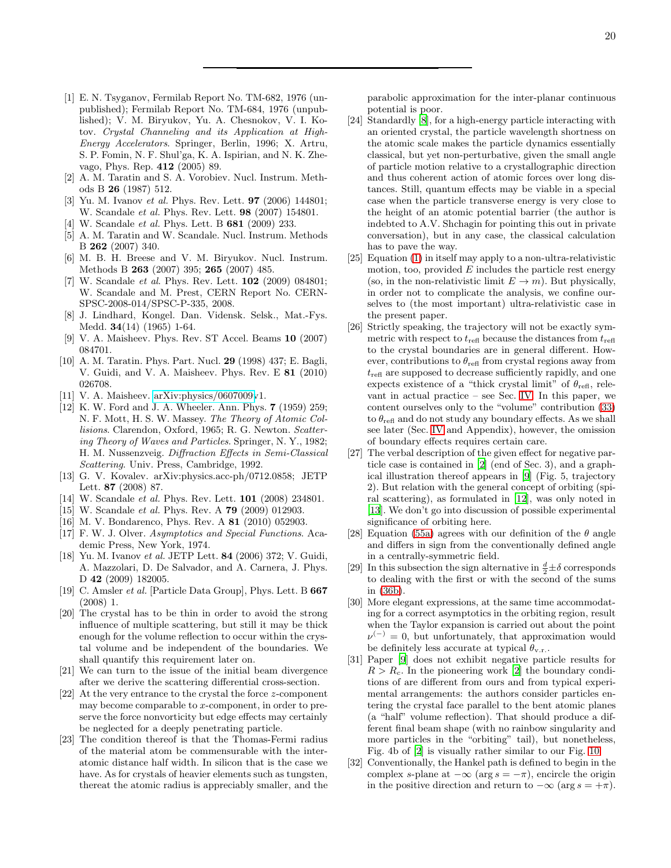- <span id="page-19-0"></span>[1] E. N. Tsyganov, Fermilab Report No. TM-682, 1976 (unpublished); Fermilab Report No. TM-684, 1976 (unpublished); V. M. Biryukov, Yu. A. Chesnokov, V. I. Kotov. Crystal Channeling and its Application at High-Energy Accelerators. Springer, Berlin, 1996; X. Artru, S. P. Fomin, N. F. Shul'ga, K. A. Ispirian, and N. K. Zhevago, Phys. Rep. 412 (2005) 89.
- <span id="page-19-1"></span>[2] A. M. Taratin and S. A. Vorobiev. Nucl. Instrum. Methods B 26 (1987) 512.
- <span id="page-19-2"></span>[3] Yu. M. Ivanov et al. Phys. Rev. Lett. **97** (2006) 144801; W. Scandale et al. Phys. Rev. Lett. 98 (2007) 154801.
- <span id="page-19-3"></span>[4] W. Scandale et al. Phys. Lett. B 681 (2009) 233.
- <span id="page-19-4"></span>[5] A. M. Taratin and W. Scandale. Nucl. Instrum. Methods B 262 (2007) 340.
- [6] M. B. H. Breese and V. M. Biryukov. Nucl. Instrum. Methods B 263 (2007) 395; 265 (2007) 485.
- <span id="page-19-5"></span>[7] W. Scandale *et al.* Phys. Rev. Lett. **102** (2009) 084801; W. Scandale and M. Prest, CERN Report No. CERN-SPSC-2008-014/SPSC-P-335, 2008.
- <span id="page-19-6"></span>[8] J. Lindhard, Kongel. Dan. Vidensk. Selsk., Mat.-Fys. Medd. 34(14) (1965) 1-64.
- <span id="page-19-7"></span>[9] V. A. Maisheev. Phys. Rev. ST Accel. Beams 10 (2007) 084701.
- <span id="page-19-8"></span>[10] A. M. Taratin. Phys. Part. Nucl. 29 (1998) 437; E. Bagli, V. Guidi, and V. A. Maisheev. Phys. Rev. E 81 (2010) 026708.
- <span id="page-19-16"></span>[11] V. A. Maisheev. [arXiv:physics/0607009v](http://arxiv.org/abs/physics/0607009)1.
- <span id="page-19-17"></span>[12] K. W. Ford and J. A. Wheeler. Ann. Phys. 7 (1959) 259; N. F. Mott, H. S. W. Massey. The Theory of Atomic Collisions. Clarendon, Oxford, 1965; R. G. Newton. Scattering Theory of Waves and Particles. Springer, N. Y., 1982; H. M. Nussenzveig. Diffraction Effects in Semi-Classical Scattering. Univ. Press, Cambridge, 1992.
- <span id="page-19-29"></span>[13] G. V. Kovalev. arXiv:physics.acc-ph/0712.0858; JETP Lett. 87 (2008) 87.
- <span id="page-19-22"></span>[14] W. Scandale et al. Phys. Rev. Lett. **101** (2008) 234801.
- <span id="page-19-24"></span>[15] W. Scandale *et al.* Phys. Rev. A **79** (2009) 012903.
- <span id="page-19-26"></span>[16] M. V. Bondarenco, Phys. Rev. A 81 (2010) 052903.
- <span id="page-19-20"></span>[17] F. W. J. Olver. Asymptotics and Special Functions. Academic Press, New York, 1974.
- <span id="page-19-28"></span>[18] Yu. M. Ivanov et al. JETP Lett. 84 (2006) 372; V. Guidi, A. Mazzolari, D. De Salvador, and A. Carnera, J. Phys. D 42 (2009) 182005.
- <span id="page-19-30"></span>[19] C. Amsler *et al.* [Particle Data Group], Phys. Lett. B **667** (2008) 1.
- <span id="page-19-9"></span>[20] The crystal has to be thin in order to avoid the strong influence of multiple scattering, but still it may be thick enough for the volume reflection to occur within the crystal volume and be independent of the boundaries. We shall quantify this requirement later on.
- <span id="page-19-10"></span>[21] We can turn to the issue of the initial beam divergence after we derive the scattering differential cross-section.
- <span id="page-19-11"></span>[22] At the very entrance to the crystal the force z-component may become comparable to  $x$ -component, in order to preserve the force nonvorticity but edge effects may certainly be neglected for a deeply penetrating particle.
- <span id="page-19-12"></span>[23] The condition thereof is that the Thomas-Fermi radius of the material atom be commensurable with the interatomic distance half width. In silicon that is the case we have. As for crystals of heavier elements such as tungsten, thereat the atomic radius is appreciably smaller, and the

parabolic approximation for the inter-planar continuous potential is poor.

- <span id="page-19-13"></span>[24] Standardly [\[8](#page-19-6)], for a high-energy particle interacting with an oriented crystal, the particle wavelength shortness on the atomic scale makes the particle dynamics essentially classical, but yet non-perturbative, given the small angle of particle motion relative to a crystallographic direction and thus coherent action of atomic forces over long distances. Still, quantum effects may be viable in a special case when the particle transverse energy is very close to the height of an atomic potential barrier (the author is indebted to A.V. Shchagin for pointing this out in private conversation), but in any case, the classical calculation has to pave the way.
- <span id="page-19-14"></span>[25] Equation [\(1\)](#page-1-2) in itself may apply to a non-ultra-relativistic motion, too, provided  $E$  includes the particle rest energy (so, in the non-relativistic limit  $E \to m$ ). But physically, in order not to complicate the analysis, we confine ourselves to (the most important) ultra-relativistic case in the present paper.
- <span id="page-19-15"></span>[26] Strictly speaking, the trajectory will not be exactly symmetric with respect to  $t_{\text{refl}}$  because the distances from  $t_{\text{refl}}$ to the crystal boundaries are in general different. However, contributions to  $\theta_{\text{refl}}$  from crystal regions away from  $t_{\text{refl}}$  are supposed to decrease sufficiently rapidly, and one expects existence of a "thick crystal limit" of  $\theta_{\text{refl}}$ , relevant in actual practice – see Sec. [IV.](#page-8-0) In this paper, we content ourselves only to the "volume" contribution [\(33\)](#page-4-1) to  $\theta_{\text{refl}}$  and do not study any boundary effects. As we shall see later (Sec. [IV](#page-8-0) and Appendix), however, the omission of boundary effects requires certain care.
- <span id="page-19-18"></span>[27] The verbal description of the given effect for negative particle case is contained in [\[2](#page-19-1)] (end of Sec. 3), and a graphical illustration thereof appears in [\[9](#page-19-7)] (Fig. 5, trajectory 2). But relation with the general concept of orbiting (spiral scattering), as formulated in [\[12\]](#page-19-17), was only noted in [\[13](#page-19-29)]. We don't go into discussion of possible experimental significance of orbiting here.
- <span id="page-19-19"></span>[28] Equation [\(55a\)](#page-7-0) agrees with our definition of the  $\theta$  angle and differs in sign from the conventionally defined angle in a centrally-symmetric field.
- <span id="page-19-21"></span>[29] In this subsection the sign alternative in  $\frac{d}{2} \pm \delta$  corresponds to dealing with the first or with the second of the sums in [\(36b\)](#page-4-9).
- <span id="page-19-23"></span>[30] More elegant expressions, at the same time accommodating for a correct asymptotics in the orbiting region, result when the Taylor expansion is carried out about the point  $\nu^{(-)} = 0$ , but unfortunately, that approximation would be definitely less accurate at typical  $\theta_{v,r}$ .
- <span id="page-19-25"></span>[31] Paper [\[9](#page-19-7)] does not exhibit negative particle results for  $R > R_c$ . In the pioneering work [\[2](#page-19-1)] the boundary conditions of are different from ours and from typical experimental arrangements: the authors consider particles entering the crystal face parallel to the bent atomic planes (a "half" volume reflection). That should produce a different final beam shape (with no rainbow singularity and more particles in the "orbiting" tail), but nonetheless, Fig. 4b of [\[2](#page-19-1)] is visually rather similar to our Fig. [10.](#page-13-0)
- <span id="page-19-27"></span>[32] Conventionally, the Hankel path is defined to begin in the complex s-plane at  $-\infty$  (arg  $s = -\pi$ ), encircle the origin in the positive direction and return to  $-\infty$  (arg  $s = +\pi$ ).